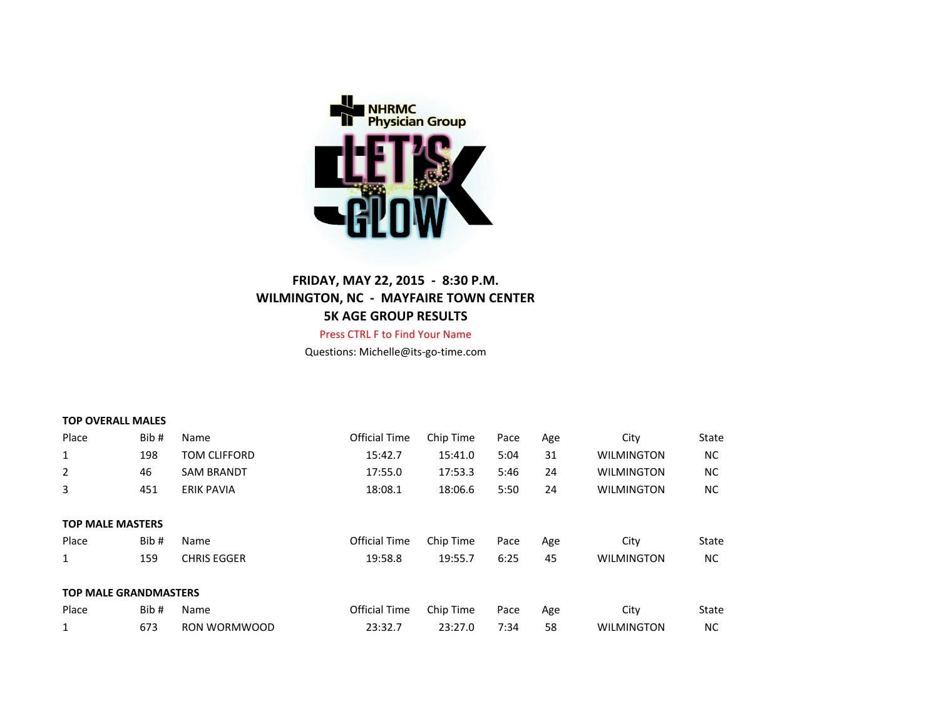

# **FRIDAY, MAY 22, 2015 - 8:30 P.M. WILMINGTON, NC - MAYFAIRE TOWN CENTER 5K AGE GROUP RESULTS**

Press CTRL F to Find Your Name Questions: Michelle@its-go-time.com

#### **TOP OVERALL MALES**

| Place                        | Bib# | Name                | <b>Official Time</b> | Chip Time | Pace | Age | City              | State     |
|------------------------------|------|---------------------|----------------------|-----------|------|-----|-------------------|-----------|
| 1                            | 198  | <b>TOM CLIFFORD</b> | 15:42.7              | 15:41.0   | 5:04 | 31  | <b>WILMINGTON</b> | ΝC        |
| 2                            | 46   | <b>SAM BRANDT</b>   | 17:55.0              | 17:53.3   | 5:46 | 24  | <b>WILMINGTON</b> | <b>NC</b> |
| 3                            | 451  | <b>ERIK PAVIA</b>   | 18:08.1              | 18:06.6   | 5:50 | 24  | <b>WILMINGTON</b> | ΝC        |
|                              |      |                     |                      |           |      |     |                   |           |
| <b>TOP MALE MASTERS</b>      |      |                     |                      |           |      |     |                   |           |
| Place                        | Bib# | Name                | <b>Official Time</b> | Chip Time | Pace | Age | City              | State     |
| 1                            | 159  | <b>CHRIS EGGER</b>  | 19:58.8              | 19:55.7   | 6:25 | 45  | <b>WILMINGTON</b> | NC.       |
|                              |      |                     |                      |           |      |     |                   |           |
| <b>TOP MALE GRANDMASTERS</b> |      |                     |                      |           |      |     |                   |           |
| Place                        | Bib# | Name                | <b>Official Time</b> | Chip Time | Pace | Age | City              | State     |
| 1                            | 673  | RON WORMWOOD        | 23:32.7              | 23:27.0   | 7:34 | 58  | <b>WILMINGTON</b> | <b>NC</b> |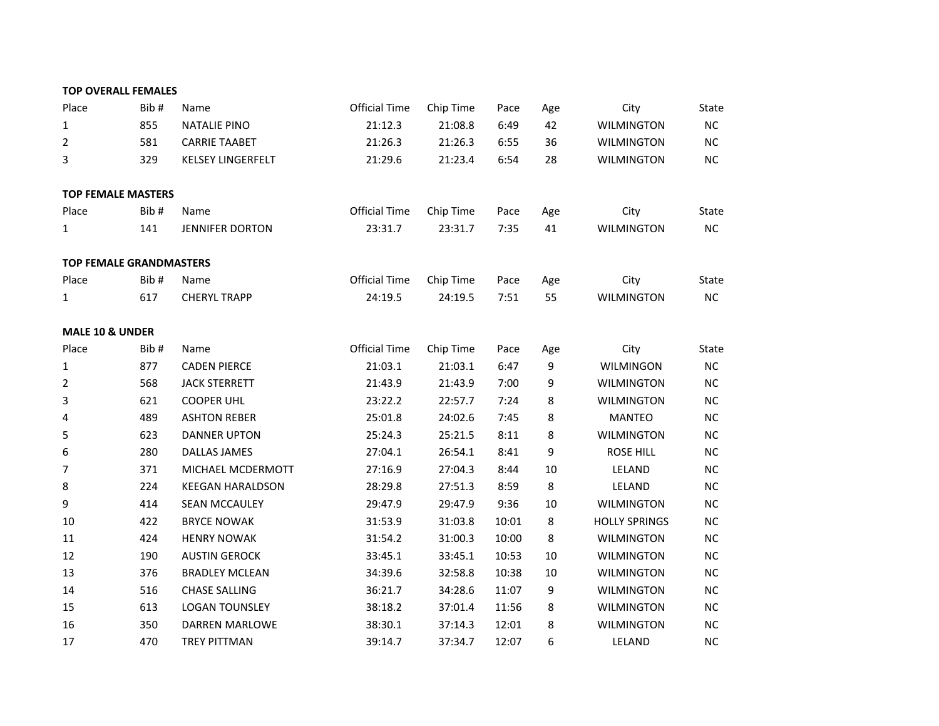|                            | <b>TOP OVERALL FEMALES</b>     |                          |                      |           |       |     |                      |       |
|----------------------------|--------------------------------|--------------------------|----------------------|-----------|-------|-----|----------------------|-------|
| Place                      | Bib#                           | Name                     | <b>Official Time</b> | Chip Time | Pace  | Age | City                 | State |
| 1                          | 855                            | <b>NATALIE PINO</b>      | 21:12.3              | 21:08.8   | 6:49  | 42  | <b>WILMINGTON</b>    | NC    |
| $\overline{2}$             | 581                            | <b>CARRIE TAABET</b>     | 21:26.3              | 21:26.3   | 6:55  | 36  | <b>WILMINGTON</b>    | NC    |
| 3                          | 329                            | <b>KELSEY LINGERFELT</b> | 21:29.6              | 21:23.4   | 6:54  | 28  | <b>WILMINGTON</b>    | NC    |
|                            | <b>TOP FEMALE MASTERS</b>      |                          |                      |           |       |     |                      |       |
| Place                      | Bib#                           | Name                     | <b>Official Time</b> | Chip Time | Pace  | Age | City                 | State |
| $\mathbf 1$                | 141                            | <b>JENNIFER DORTON</b>   | 23:31.7              | 23:31.7   | 7:35  | 41  | <b>WILMINGTON</b>    | $NC$  |
|                            | <b>TOP FEMALE GRANDMASTERS</b> |                          |                      |           |       |     |                      |       |
| Place                      | Bib#                           | Name                     | <b>Official Time</b> | Chip Time | Pace  | Age | City                 | State |
| 1                          | 617                            | <b>CHERYL TRAPP</b>      | 24:19.5              | 24:19.5   | 7:51  | 55  | <b>WILMINGTON</b>    | NC    |
| <b>MALE 10 &amp; UNDER</b> |                                |                          |                      |           |       |     |                      |       |
| Place                      | Bib#                           | Name                     | <b>Official Time</b> | Chip Time | Pace  | Age | City                 | State |
| $\mathbf{1}$               | 877                            | <b>CADEN PIERCE</b>      | 21:03.1              | 21:03.1   | 6:47  | 9   | <b>WILMINGON</b>     | NC    |
| $\overline{2}$             | 568                            | <b>JACK STERRETT</b>     | 21:43.9              | 21:43.9   | 7:00  | 9   | <b>WILMINGTON</b>    | NC    |
| 3                          | 621                            | <b>COOPER UHL</b>        | 23:22.2              | 22:57.7   | 7:24  | 8   | <b>WILMINGTON</b>    | NC    |
| 4                          | 489                            | <b>ASHTON REBER</b>      | 25:01.8              | 24:02.6   | 7:45  | 8   | <b>MANTEO</b>        | NC    |
| 5                          | 623                            | <b>DANNER UPTON</b>      | 25:24.3              | 25:21.5   | 8:11  | 8   | <b>WILMINGTON</b>    | NC    |
| 6                          | 280                            | <b>DALLAS JAMES</b>      | 27:04.1              | 26:54.1   | 8:41  | 9   | <b>ROSE HILL</b>     | NC    |
| $\overline{7}$             | 371                            | MICHAEL MCDERMOTT        | 27:16.9              | 27:04.3   | 8:44  | 10  | LELAND               | NC    |
| 8                          | 224                            | <b>KEEGAN HARALDSON</b>  | 28:29.8              | 27:51.3   | 8:59  | 8   | LELAND               | NC    |
| 9                          | 414                            | <b>SEAN MCCAULEY</b>     | 29:47.9              | 29:47.9   | 9:36  | 10  | <b>WILMINGTON</b>    | NC    |
| 10                         | 422                            | <b>BRYCE NOWAK</b>       | 31:53.9              | 31:03.8   | 10:01 | 8   | <b>HOLLY SPRINGS</b> | NC    |
| 11                         | 424                            | <b>HENRY NOWAK</b>       | 31:54.2              | 31:00.3   | 10:00 | 8   | <b>WILMINGTON</b>    | $NC$  |
| 12                         | 190                            | <b>AUSTIN GEROCK</b>     | 33:45.1              | 33:45.1   | 10:53 | 10  | <b>WILMINGTON</b>    | NC    |
| 13                         | 376                            | <b>BRADLEY MCLEAN</b>    | 34:39.6              | 32:58.8   | 10:38 | 10  | <b>WILMINGTON</b>    | NC    |
| 14                         | 516                            | <b>CHASE SALLING</b>     | 36:21.7              | 34:28.6   | 11:07 | 9   | <b>WILMINGTON</b>    | NC    |
| 15                         | 613                            | <b>LOGAN TOUNSLEY</b>    | 38:18.2              | 37:01.4   | 11:56 | 8   | <b>WILMINGTON</b>    | NC    |
| 16                         | 350                            | <b>DARREN MARLOWE</b>    | 38:30.1              | 37:14.3   | 12:01 | 8   | <b>WILMINGTON</b>    | NC    |
| 17                         | 470                            | <b>TREY PITTMAN</b>      | 39:14.7              | 37:34.7   | 12:07 | 6   | LELAND               | NC    |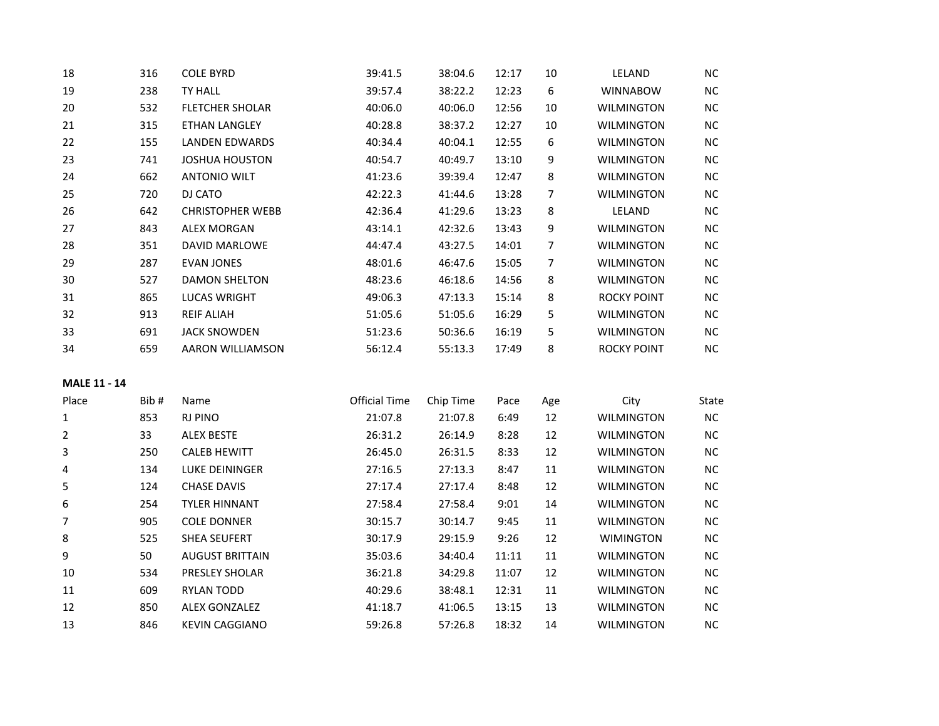| 18 | 316 | <b>COLE BYRD</b>        | 39:41.5 | 38:04.6 | 12:17 | 10 | LELAND             | NC  |
|----|-----|-------------------------|---------|---------|-------|----|--------------------|-----|
| 19 | 238 | TY HALL                 | 39:57.4 | 38:22.2 | 12:23 | 6  | <b>WINNABOW</b>    | NC. |
| 20 | 532 | <b>FLETCHER SHOLAR</b>  | 40:06.0 | 40:06.0 | 12:56 | 10 | WILMINGTON         | NC. |
| 21 | 315 | <b>ETHAN LANGLEY</b>    | 40:28.8 | 38:37.2 | 12:27 | 10 | <b>WILMINGTON</b>  | NC  |
| 22 | 155 | LANDEN EDWARDS          | 40:34.4 | 40:04.1 | 12:55 | 6  | WILMINGTON         | NC. |
| 23 | 741 | JOSHUA HOUSTON          | 40:54.7 | 40:49.7 | 13:10 | 9  | <b>WILMINGTON</b>  | NC. |
| 24 | 662 | <b>ANTONIO WILT</b>     | 41:23.6 | 39:39.4 | 12:47 | 8  | <b>WILMINGTON</b>  | NC. |
| 25 | 720 | DJ CATO                 | 42:22.3 | 41:44.6 | 13:28 | 7  | <b>WILMINGTON</b>  | NC. |
| 26 | 642 | <b>CHRISTOPHER WEBB</b> | 42:36.4 | 41:29.6 | 13:23 | 8  | LELAND             | NC  |
| 27 | 843 | <b>ALEX MORGAN</b>      | 43:14.1 | 42:32.6 | 13:43 | 9  | <b>WILMINGTON</b>  | NC. |
| 28 | 351 | <b>DAVID MARLOWE</b>    | 44:47.4 | 43:27.5 | 14:01 | 7  | <b>WILMINGTON</b>  | NC. |
| 29 | 287 | <b>EVAN JONES</b>       | 48:01.6 | 46:47.6 | 15:05 | 7  | <b>WILMINGTON</b>  | NC. |
| 30 | 527 | <b>DAMON SHELTON</b>    | 48:23.6 | 46:18.6 | 14:56 | 8  | <b>WILMINGTON</b>  | NC  |
| 31 | 865 | <b>LUCAS WRIGHT</b>     | 49:06.3 | 47:13.3 | 15:14 | 8  | <b>ROCKY POINT</b> | NC. |
| 32 | 913 | <b>REIF ALIAH</b>       | 51:05.6 | 51:05.6 | 16:29 | 5  | <b>WILMINGTON</b>  | NC. |
| 33 | 691 | <b>JACK SNOWDEN</b>     | 51:23.6 | 50:36.6 | 16:19 | 5  | <b>WILMINGTON</b>  | NC. |
| 34 | 659 | AARON WILLIAMSON        | 56:12.4 | 55:13.3 | 17:49 | 8  | <b>ROCKY POINT</b> | NC. |
|    |     |                         |         |         |       |    |                    |     |

# **MALE 11 - 14**

| Place          | Bib# | Name                   | Official Time | Chip Time | Pace  | Age | City              | <b>State</b> |
|----------------|------|------------------------|---------------|-----------|-------|-----|-------------------|--------------|
| 1              | 853  | <b>RJ PINO</b>         | 21:07.8       | 21:07.8   | 6:49  | 12  | WILMINGTON        | NC.          |
| $\overline{2}$ | 33   | <b>ALEX BESTE</b>      | 26:31.2       | 26:14.9   | 8:28  | 12  | WILMINGTON        | NC.          |
| 3              | 250  | <b>CALEB HEWITT</b>    | 26:45.0       | 26:31.5   | 8:33  | 12  | WILMINGTON        | NC.          |
| 4              | 134  | LUKE DEININGER         | 27:16.5       | 27:13.3   | 8:47  | 11  | WILMINGTON        | NC.          |
| 5              | 124  | <b>CHASE DAVIS</b>     | 27:17.4       | 27:17.4   | 8:48  | 12  | <b>WILMINGTON</b> | NC           |
| 6              | 254  | <b>TYLER HINNANT</b>   | 27:58.4       | 27:58.4   | 9:01  | 14  | WILMINGTON        | NC           |
| 7              | 905  | <b>COLE DONNER</b>     | 30:15.7       | 30:14.7   | 9:45  | 11  | WILMINGTON        | NC.          |
| 8              | 525  | <b>SHEA SEUFERT</b>    | 30:17.9       | 29:15.9   | 9:26  | 12  | <b>WIMINGTON</b>  | NC.          |
| 9              | 50   | <b>AUGUST BRITTAIN</b> | 35:03.6       | 34:40.4   | 11:11 | 11  | WILMINGTON        | NC.          |
| 10             | 534  | <b>PRESLEY SHOLAR</b>  | 36:21.8       | 34:29.8   | 11:07 | 12  | WILMINGTON        | NC.          |
| 11             | 609  | <b>RYLAN TODD</b>      | 40:29.6       | 38:48.1   | 12:31 | 11  | WILMINGTON        | NC.          |
| 12             | 850  | <b>ALEX GONZALEZ</b>   | 41:18.7       | 41:06.5   | 13:15 | 13  | <b>WILMINGTON</b> | NC.          |
| 13             | 846  | <b>KEVIN CAGGIANO</b>  | 59:26.8       | 57:26.8   | 18:32 | 14  | WILMINGTON        | NC.          |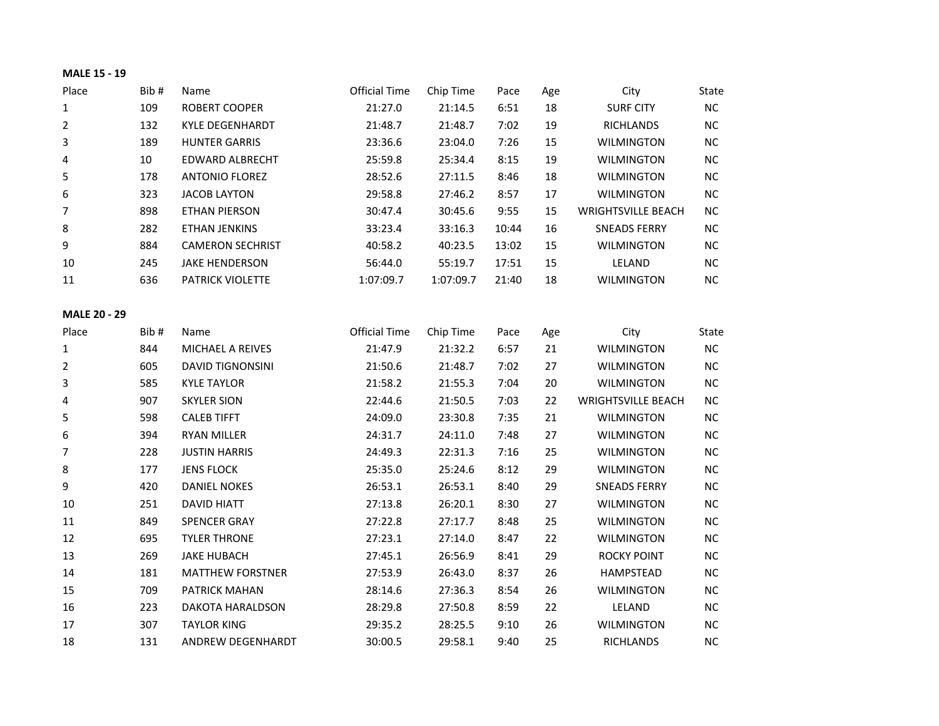## **MALE 15 - 19**

| Place               | Bib#   | Name                    | <b>Official Time</b> | Chip Time | Pace  | Age | City                      | <b>State</b> |
|---------------------|--------|-------------------------|----------------------|-----------|-------|-----|---------------------------|--------------|
| $\mathbf{1}$        | 109    | <b>ROBERT COOPER</b>    | 21:27.0              | 21:14.5   | 6:51  | 18  | <b>SURF CITY</b>          | NC           |
| $\overline{2}$      | 132    | <b>KYLE DEGENHARDT</b>  | 21:48.7              | 21:48.7   | 7:02  | 19  | <b>RICHLANDS</b>          | NC           |
| 3                   | 189    | <b>HUNTER GARRIS</b>    | 23:36.6              | 23:04.0   | 7:26  | 15  | <b>WILMINGTON</b>         | <b>NC</b>    |
| $\overline{a}$      | $10\,$ | <b>EDWARD ALBRECHT</b>  | 25:59.8              | 25:34.4   | 8:15  | 19  | <b>WILMINGTON</b>         | <b>NC</b>    |
| 5                   | 178    | <b>ANTONIO FLOREZ</b>   | 28:52.6              | 27:11.5   | 8:46  | 18  | <b>WILMINGTON</b>         | NC           |
| 6                   | 323    | <b>JACOB LAYTON</b>     | 29:58.8              | 27:46.2   | 8:57  | 17  | <b>WILMINGTON</b>         | NC           |
| $\overline{7}$      | 898    | <b>ETHAN PIERSON</b>    | 30:47.4              | 30:45.6   | 9:55  | 15  | <b>WRIGHTSVILLE BEACH</b> | NC           |
| 8                   | 282    | ETHAN JENKINS           | 33:23.4              | 33:16.3   | 10:44 | 16  | <b>SNEADS FERRY</b>       | NC           |
| 9                   | 884    | <b>CAMERON SECHRIST</b> | 40:58.2              | 40:23.5   | 13:02 | 15  | <b>WILMINGTON</b>         | <b>NC</b>    |
| 10                  | 245    | <b>JAKE HENDERSON</b>   | 56:44.0              | 55:19.7   | 17:51 | 15  | LELAND                    | NC           |
| 11                  | 636    | PATRICK VIOLETTE        | 1:07:09.7            | 1:07:09.7 | 21:40 | 18  | <b>WILMINGTON</b>         | NC           |
| <b>MALE 20 - 29</b> |        |                         |                      |           |       |     |                           |              |
| Place               | Bib#   | Name                    | <b>Official Time</b> | Chip Time | Pace  | Age | City                      | State        |
| $\mathbf 1$         | 844    | MICHAEL A REIVES        | 21:47.9              | 21:32.2   | 6:57  | 21  | <b>WILMINGTON</b>         | NC           |
| $\overline{2}$      | 605    | <b>DAVID TIGNONSINI</b> | 21:50.6              | 21:48.7   | 7:02  | 27  | <b>WILMINGTON</b>         | NC           |
| 3                   | 585    | <b>KYLE TAYLOR</b>      | 21:58.2              | 21:55.3   | 7:04  | 20  | <b>WILMINGTON</b>         | $NC$         |
| 4                   | 907    | <b>SKYLER SION</b>      | 22:44.6              | 21:50.5   | 7:03  | 22  | <b>WRIGHTSVILLE BEACH</b> | NC           |
| 5                   | 598    | <b>CALEB TIFFT</b>      | 24:09.0              | 23:30.8   | 7:35  | 21  | <b>WILMINGTON</b>         | <b>NC</b>    |
| 6                   | 394    | <b>RYAN MILLER</b>      | 24:31.7              | 24:11.0   | 7:48  | 27  | <b>WILMINGTON</b>         | <b>NC</b>    |
| $\overline{7}$      | 228    | <b>JUSTIN HARRIS</b>    | 24:49.3              | 22:31.3   | 7:16  | 25  | <b>WILMINGTON</b>         | <b>NC</b>    |
| 8                   | 177    | <b>JENS FLOCK</b>       | 25:35.0              | 25:24.6   | 8:12  | 29  | <b>WILMINGTON</b>         | <b>NC</b>    |
| 9                   | 420    | <b>DANIEL NOKES</b>     | 26:53.1              | 26:53.1   | 8:40  | 29  | <b>SNEADS FERRY</b>       | NC           |
| 10                  | 251    | <b>DAVID HIATT</b>      | 27:13.8              | 26:20.1   | 8:30  | 27  | <b>WILMINGTON</b>         | NC           |
| $11\,$              | 849    | <b>SPENCER GRAY</b>     | 27:22.8              | 27:17.7   | 8:48  | 25  | <b>WILMINGTON</b>         | NC           |
| 12                  | 695    | <b>TYLER THRONE</b>     | 27:23.1              | 27:14.0   | 8:47  | 22  | <b>WILMINGTON</b>         | NC           |
| 13                  | 269    | <b>JAKE HUBACH</b>      | 27:45.1              | 26:56.9   | 8:41  | 29  | <b>ROCKY POINT</b>        | NC           |
| 14                  | 181    | <b>MATTHEW FORSTNER</b> | 27:53.9              | 26:43.0   | 8:37  | 26  | <b>HAMPSTEAD</b>          | <b>NC</b>    |
| 15                  | 709    | PATRICK MAHAN           | 28:14.6              | 27:36.3   | 8:54  | 26  | <b>WILMINGTON</b>         | NC           |
| 16                  | 223    | DAKOTA HARALDSON        | 28:29.8              | 27:50.8   | 8:59  | 22  | LELAND                    | NC           |
| 17                  | 307    | <b>TAYLOR KING</b>      | 29:35.2              | 28:25.5   | 9:10  | 26  | <b>WILMINGTON</b>         | <b>NC</b>    |
| 18                  | 131    | ANDREW DEGENHARDT       | 30:00.5              | 29:58.1   | 9:40  | 25  | <b>RICHLANDS</b>          | NC           |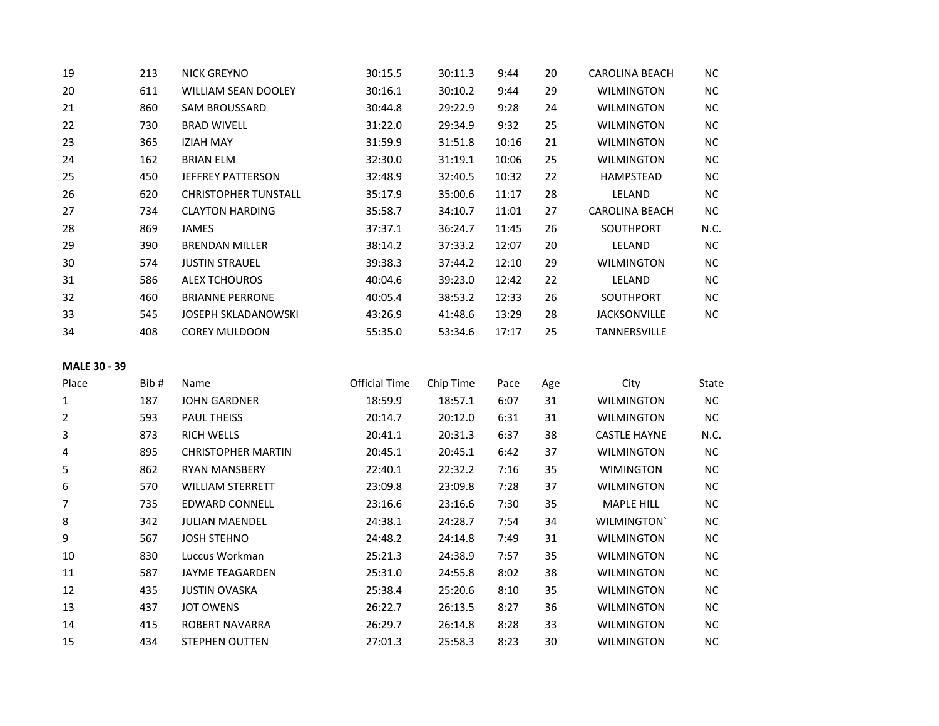| 19 | 213 | <b>NICK GREYNO</b>          | 30:15.5 | 30:11.3 | 9:44  | 20 | CAROLINA BEACH        | NC.       |
|----|-----|-----------------------------|---------|---------|-------|----|-----------------------|-----------|
| 20 | 611 | <b>WILLIAM SEAN DOOLEY</b>  | 30:16.1 | 30:10.2 | 9:44  | 29 | <b>WILMINGTON</b>     | <b>NC</b> |
| 21 | 860 | <b>SAM BROUSSARD</b>        | 30:44.8 | 29:22.9 | 9:28  | 24 | <b>WILMINGTON</b>     | <b>NC</b> |
| 22 | 730 | <b>BRAD WIVELL</b>          | 31:22.0 | 29:34.9 | 9:32  | 25 | <b>WILMINGTON</b>     | <b>NC</b> |
| 23 | 365 | <b>IZIAH MAY</b>            | 31:59.9 | 31:51.8 | 10:16 | 21 | <b>WILMINGTON</b>     | NC        |
| 24 | 162 | <b>BRIAN ELM</b>            | 32:30.0 | 31:19.1 | 10:06 | 25 | <b>WILMINGTON</b>     | <b>NC</b> |
| 25 | 450 | <b>JEFFREY PATTERSON</b>    | 32:48.9 | 32:40.5 | 10:32 | 22 | <b>HAMPSTEAD</b>      | <b>NC</b> |
| 26 | 620 | <b>CHRISTOPHER TUNSTALL</b> | 35:17.9 | 35:00.6 | 11:17 | 28 | LELAND                | <b>NC</b> |
| 27 | 734 | <b>CLAYTON HARDING</b>      | 35:58.7 | 34:10.7 | 11:01 | 27 | <b>CAROLINA BEACH</b> | <b>NC</b> |
| 28 | 869 | <b>JAMES</b>                | 37:37.1 | 36:24.7 | 11:45 | 26 | <b>SOUTHPORT</b>      | N.C.      |
| 29 | 390 | <b>BRENDAN MILLER</b>       | 38:14.2 | 37:33.2 | 12:07 | 20 | LELAND                | <b>NC</b> |
| 30 | 574 | <b>JUSTIN STRAUEL</b>       | 39:38.3 | 37:44.2 | 12:10 | 29 | <b>WILMINGTON</b>     | <b>NC</b> |
| 31 | 586 | <b>ALEX TCHOUROS</b>        | 40:04.6 | 39:23.0 | 12:42 | 22 | LELAND                | <b>NC</b> |
| 32 | 460 | <b>BRIANNE PERRONE</b>      | 40:05.4 | 38:53.2 | 12:33 | 26 | <b>SOUTHPORT</b>      | <b>NC</b> |
| 33 | 545 | JOSEPH SKLADANOWSKI         | 43:26.9 | 41:48.6 | 13:29 | 28 | <b>JACKSONVILLE</b>   | <b>NC</b> |
| 34 | 408 | <b>COREY MULDOON</b>        | 55:35.0 | 53:34.6 | 17:17 | 25 | TANNERSVILLE          |           |

## **MALE 30 - 39**

| Place | Bib# | Name                      | Official Time | Chip Time | Pace | Age | City                | State |
|-------|------|---------------------------|---------------|-----------|------|-----|---------------------|-------|
| 1     | 187  | <b>JOHN GARDNER</b>       | 18:59.9       | 18:57.1   | 6:07 | 31  | <b>WILMINGTON</b>   | NC.   |
| 2     | 593  | <b>PAUL THEISS</b>        | 20:14.7       | 20:12.0   | 6:31 | 31  | <b>WILMINGTON</b>   | NC.   |
| 3     | 873  | <b>RICH WELLS</b>         | 20:41.1       | 20:31.3   | 6:37 | 38  | <b>CASTLE HAYNE</b> | N.C.  |
| 4     | 895  | <b>CHRISTOPHER MARTIN</b> | 20:45.1       | 20:45.1   | 6:42 | 37  | WILMINGTON          | NC.   |
| 5     | 862  | <b>RYAN MANSBERY</b>      | 22:40.1       | 22:32.2   | 7:16 | 35  | <b>WIMINGTON</b>    | NC    |
| 6     | 570  | <b>WILLIAM STERRETT</b>   | 23:09.8       | 23:09.8   | 7:28 | 37  | <b>WILMINGTON</b>   | NC.   |
| 7     | 735  | <b>EDWARD CONNELL</b>     | 23:16.6       | 23:16.6   | 7:30 | 35  | <b>MAPLE HILL</b>   | NC.   |
| 8     | 342  | <b>JULIAN MAENDEL</b>     | 24:38.1       | 24:28.7   | 7:54 | 34  | WILMINGTON'         | NC.   |
| 9     | 567  | <b>JOSH STEHNO</b>        | 24:48.2       | 24:14.8   | 7:49 | 31  | <b>WILMINGTON</b>   | NC.   |
| 10    | 830  | Luccus Workman            | 25:21.3       | 24:38.9   | 7:57 | 35  | <b>WILMINGTON</b>   | NC.   |
| 11    | 587  | <b>JAYME TEAGARDEN</b>    | 25:31.0       | 24:55.8   | 8:02 | 38  | <b>WILMINGTON</b>   | NC.   |
| 12    | 435  | <b>JUSTIN OVASKA</b>      | 25:38.4       | 25:20.6   | 8:10 | 35  | <b>WILMINGTON</b>   | NC.   |
| 13    | 437  | <b>JOT OWENS</b>          | 26:22.7       | 26:13.5   | 8:27 | 36  | <b>WILMINGTON</b>   | NC.   |
| 14    | 415  | <b>ROBERT NAVARRA</b>     | 26:29.7       | 26:14.8   | 8:28 | 33  | <b>WILMINGTON</b>   | NC.   |
| 15    | 434  | <b>STEPHEN OUTTEN</b>     | 27:01.3       | 25:58.3   | 8:23 | 30  | <b>WILMINGTON</b>   | NC.   |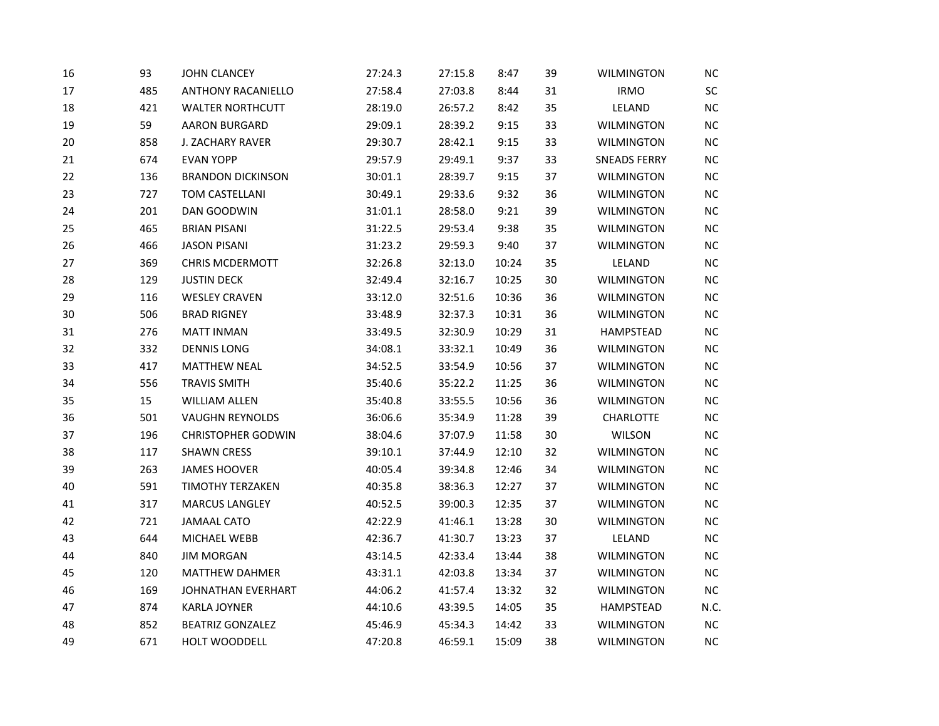| 16 | 93  | <b>JOHN CLANCEY</b>       | 27:24.3 | 27:15.8 | 8:47  | 39 | <b>WILMINGTON</b>   | $NC$      |
|----|-----|---------------------------|---------|---------|-------|----|---------------------|-----------|
| 17 | 485 | <b>ANTHONY RACANIELLO</b> | 27:58.4 | 27:03.8 | 8:44  | 31 | <b>IRMO</b>         | $\sf SC$  |
| 18 | 421 | <b>WALTER NORTHCUTT</b>   | 28:19.0 | 26:57.2 | 8:42  | 35 | LELAND              | <b>NC</b> |
| 19 | 59  | <b>AARON BURGARD</b>      | 29:09.1 | 28:39.2 | 9:15  | 33 | <b>WILMINGTON</b>   | <b>NC</b> |
| 20 | 858 | J. ZACHARY RAVER          | 29:30.7 | 28:42.1 | 9:15  | 33 | <b>WILMINGTON</b>   | <b>NC</b> |
| 21 | 674 | <b>EVAN YOPP</b>          | 29:57.9 | 29:49.1 | 9:37  | 33 | <b>SNEADS FERRY</b> | NC        |
| 22 | 136 | <b>BRANDON DICKINSON</b>  | 30:01.1 | 28:39.7 | 9:15  | 37 | WILMINGTON          | <b>NC</b> |
| 23 | 727 | TOM CASTELLANI            | 30:49.1 | 29:33.6 | 9:32  | 36 | <b>WILMINGTON</b>   | <b>NC</b> |
| 24 | 201 | DAN GOODWIN               | 31:01.1 | 28:58.0 | 9:21  | 39 | <b>WILMINGTON</b>   | NC        |
| 25 | 465 | <b>BRIAN PISANI</b>       | 31:22.5 | 29:53.4 | 9:38  | 35 | <b>WILMINGTON</b>   | <b>NC</b> |
| 26 | 466 | <b>JASON PISANI</b>       | 31:23.2 | 29:59.3 | 9:40  | 37 | <b>WILMINGTON</b>   | NC        |
| 27 | 369 | <b>CHRIS MCDERMOTT</b>    | 32:26.8 | 32:13.0 | 10:24 | 35 | LELAND              | NC        |
| 28 | 129 | <b>JUSTIN DECK</b>        | 32:49.4 | 32:16.7 | 10:25 | 30 | <b>WILMINGTON</b>   | <b>NC</b> |
| 29 | 116 | <b>WESLEY CRAVEN</b>      | 33:12.0 | 32:51.6 | 10:36 | 36 | <b>WILMINGTON</b>   | NC        |
| 30 | 506 | <b>BRAD RIGNEY</b>        | 33:48.9 | 32:37.3 | 10:31 | 36 | <b>WILMINGTON</b>   | NC        |
| 31 | 276 | <b>MATT INMAN</b>         | 33:49.5 | 32:30.9 | 10:29 | 31 | HAMPSTEAD           | <b>NC</b> |
| 32 | 332 | <b>DENNIS LONG</b>        | 34:08.1 | 33:32.1 | 10:49 | 36 | <b>WILMINGTON</b>   | <b>NC</b> |
| 33 | 417 | <b>MATTHEW NEAL</b>       | 34:52.5 | 33:54.9 | 10:56 | 37 | <b>WILMINGTON</b>   | <b>NC</b> |
| 34 | 556 | <b>TRAVIS SMITH</b>       | 35:40.6 | 35:22.2 | 11:25 | 36 | <b>WILMINGTON</b>   | $NC$      |
| 35 | 15  | <b>WILLIAM ALLEN</b>      | 35:40.8 | 33:55.5 | 10:56 | 36 | <b>WILMINGTON</b>   | NC        |
| 36 | 501 | <b>VAUGHN REYNOLDS</b>    | 36:06.6 | 35:34.9 | 11:28 | 39 | CHARLOTTE           | NC        |
| 37 | 196 | <b>CHRISTOPHER GODWIN</b> | 38:04.6 | 37:07.9 | 11:58 | 30 | WILSON              | NC        |
| 38 | 117 | <b>SHAWN CRESS</b>        | 39:10.1 | 37:44.9 | 12:10 | 32 | <b>WILMINGTON</b>   | <b>NC</b> |
| 39 | 263 | <b>JAMES HOOVER</b>       | 40:05.4 | 39:34.8 | 12:46 | 34 | <b>WILMINGTON</b>   | NC        |
| 40 | 591 | TIMOTHY TERZAKEN          | 40:35.8 | 38:36.3 | 12:27 | 37 | <b>WILMINGTON</b>   | NC        |
| 41 | 317 | <b>MARCUS LANGLEY</b>     | 40:52.5 | 39:00.3 | 12:35 | 37 | <b>WILMINGTON</b>   | <b>NC</b> |
| 42 | 721 | <b>JAMAAL CATO</b>        | 42:22.9 | 41:46.1 | 13:28 | 30 | WILMINGTON          | <b>NC</b> |
| 43 | 644 | MICHAEL WEBB              | 42:36.7 | 41:30.7 | 13:23 | 37 | LELAND              | NC        |
| 44 | 840 | <b>JIM MORGAN</b>         | 43:14.5 | 42:33.4 | 13:44 | 38 | <b>WILMINGTON</b>   | NC        |
| 45 | 120 | MATTHEW DAHMER            | 43:31.1 | 42:03.8 | 13:34 | 37 | <b>WILMINGTON</b>   | <b>NC</b> |
| 46 | 169 | JOHNATHAN EVERHART        | 44:06.2 | 41:57.4 | 13:32 | 32 | <b>WILMINGTON</b>   | NC        |
| 47 | 874 | <b>KARLA JOYNER</b>       | 44:10.6 | 43:39.5 | 14:05 | 35 | HAMPSTEAD           | N.C.      |
| 48 | 852 | <b>BEATRIZ GONZALEZ</b>   | 45:46.9 | 45:34.3 | 14:42 | 33 | <b>WILMINGTON</b>   | NC        |
| 49 | 671 | HOLT WOODDELL             | 47:20.8 | 46:59.1 | 15:09 | 38 | <b>WILMINGTON</b>   | NC        |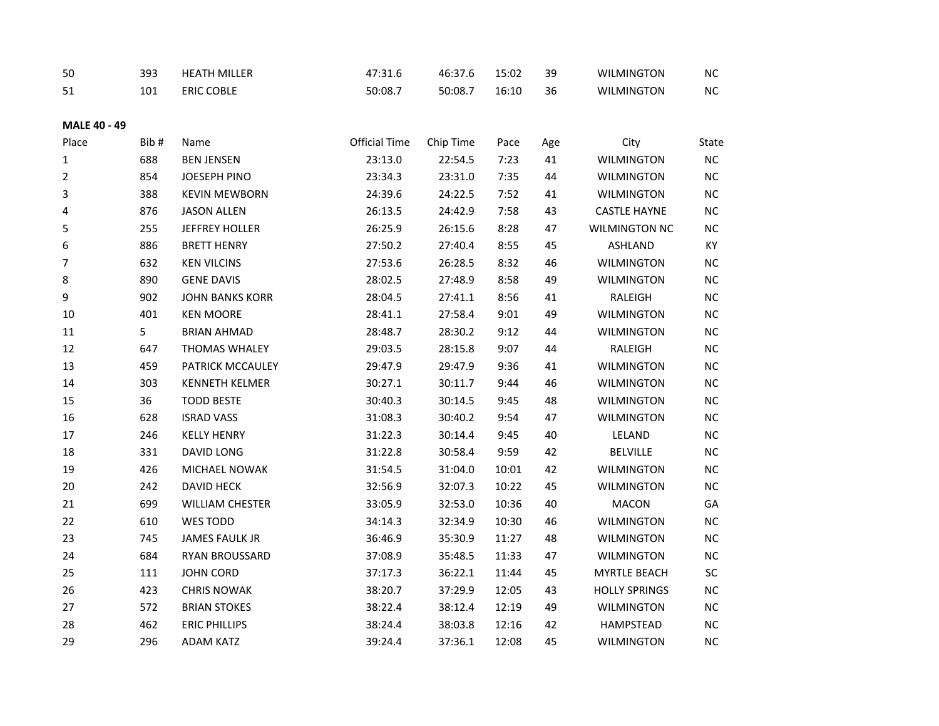| 50  | 393 | <b>HEATH MILLER</b>  | $-24$<br>. | $\sim$<br>46:37.0 | 15:02 | 39<br><u>.</u> | <b>WILMINGTON</b> | NC |
|-----|-----|----------------------|------------|-------------------|-------|----------------|-------------------|----|
| ⊥ ر | 101 | <b>COBLE</b><br>ERIC | 50:08.7    | 50:08.7           | 16:10 | 36             | <b>WILMINGTON</b> | NC |

## **MALE 40 - 49**

| Place | Bib# | Name                   | <b>Official Time</b> | Chip Time | Pace  | Age | City                 | State     |
|-------|------|------------------------|----------------------|-----------|-------|-----|----------------------|-----------|
| 1     | 688  | <b>BEN JENSEN</b>      | 23:13.0              | 22:54.5   | 7:23  | 41  | <b>WILMINGTON</b>    | NC        |
| 2     | 854  | JOESEPH PINO           | 23:34.3              | 23:31.0   | 7:35  | 44  | <b>WILMINGTON</b>    | NC        |
| 3     | 388  | <b>KEVIN MEWBORN</b>   | 24:39.6              | 24:22.5   | 7:52  | 41  | <b>WILMINGTON</b>    | NC        |
| 4     | 876  | <b>JASON ALLEN</b>     | 26:13.5              | 24:42.9   | 7:58  | 43  | <b>CASTLE HAYNE</b>  | NC        |
| 5     | 255  | JEFFREY HOLLER         | 26:25.9              | 26:15.6   | 8:28  | 47  | <b>WILMINGTON NC</b> | NC        |
| 6     | 886  | <b>BRETT HENRY</b>     | 27:50.2              | 27:40.4   | 8:55  | 45  | <b>ASHLAND</b>       | KY        |
| 7     | 632  | <b>KEN VILCINS</b>     | 27:53.6              | 26:28.5   | 8:32  | 46  | <b>WILMINGTON</b>    | $NC$      |
| 8     | 890  | <b>GENE DAVIS</b>      | 28:02.5              | 27:48.9   | 8:58  | 49  | <b>WILMINGTON</b>    | NC        |
| 9     | 902  | <b>JOHN BANKS KORR</b> | 28:04.5              | 27:41.1   | 8:56  | 41  | RALEIGH              | $NC$      |
| 10    | 401  | <b>KEN MOORE</b>       | 28:41.1              | 27:58.4   | 9:01  | 49  | <b>WILMINGTON</b>    | NC        |
| 11    | 5    | <b>BRIAN AHMAD</b>     | 28:48.7              | 28:30.2   | 9:12  | 44  | <b>WILMINGTON</b>    | $NC$      |
| 12    | 647  | <b>THOMAS WHALEY</b>   | 29:03.5              | 28:15.8   | 9:07  | 44  | RALEIGH              | <b>NC</b> |
| 13    | 459  | PATRICK MCCAULEY       | 29:47.9              | 29:47.9   | 9:36  | 41  | <b>WILMINGTON</b>    | NC        |
| 14    | 303  | <b>KENNETH KELMER</b>  | 30:27.1              | 30:11.7   | 9:44  | 46  | <b>WILMINGTON</b>    | NC        |
| 15    | 36   | <b>TODD BESTE</b>      | 30:40.3              | 30:14.5   | 9:45  | 48  | <b>WILMINGTON</b>    | NC        |
| 16    | 628  | <b>ISRAD VASS</b>      | 31:08.3              | 30:40.2   | 9:54  | 47  | <b>WILMINGTON</b>    | NC        |
| 17    | 246  | <b>KELLY HENRY</b>     | 31:22.3              | 30:14.4   | 9:45  | 40  | LELAND               | NC        |
| 18    | 331  | DAVID LONG             | 31:22.8              | 30:58.4   | 9:59  | 42  | <b>BELVILLE</b>      | NC        |
| 19    | 426  | MICHAEL NOWAK          | 31:54.5              | 31:04.0   | 10:01 | 42  | <b>WILMINGTON</b>    | NC        |
| 20    | 242  | DAVID HECK             | 32:56.9              | 32:07.3   | 10:22 | 45  | <b>WILMINGTON</b>    | $NC$      |
| 21    | 699  | <b>WILLIAM CHESTER</b> | 33:05.9              | 32:53.0   | 10:36 | 40  | <b>MACON</b>         | GA        |
| 22    | 610  | WES TODD               | 34:14.3              | 32:34.9   | 10:30 | 46  | <b>WILMINGTON</b>    | $NC$      |
| 23    | 745  | <b>JAMES FAULK JR</b>  | 36:46.9              | 35:30.9   | 11:27 | 48  | <b>WILMINGTON</b>    | $NC$      |
| 24    | 684  | RYAN BROUSSARD         | 37:08.9              | 35:48.5   | 11:33 | 47  | <b>WILMINGTON</b>    | NC        |
| 25    | 111  | <b>JOHN CORD</b>       | 37:17.3              | 36:22.1   | 11:44 | 45  | <b>MYRTLE BEACH</b>  | SC        |
| 26    | 423  | <b>CHRIS NOWAK</b>     | 38:20.7              | 37:29.9   | 12:05 | 43  | <b>HOLLY SPRINGS</b> | NC        |
| 27    | 572  | <b>BRIAN STOKES</b>    | 38:22.4              | 38:12.4   | 12:19 | 49  | <b>WILMINGTON</b>    | NC        |
| 28    | 462  | <b>ERIC PHILLIPS</b>   | 38:24.4              | 38:03.8   | 12:16 | 42  | HAMPSTEAD            | NC        |
| 29    | 296  | <b>ADAM KATZ</b>       | 39:24.4              | 37:36.1   | 12:08 | 45  | <b>WILMINGTON</b>    | $NC$      |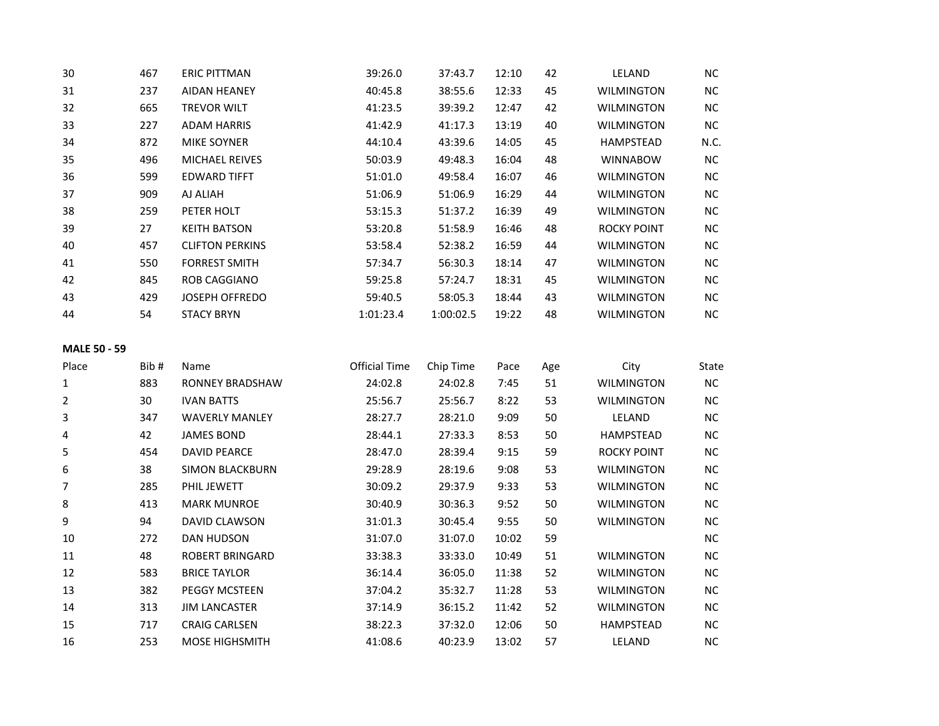| 30 | 467 | <b>ERIC PITTMAN</b>    | 39:26.0   | 37:43.7   | 12:10 | 42 | LELAND             | NC        |
|----|-----|------------------------|-----------|-----------|-------|----|--------------------|-----------|
| 31 | 237 | <b>AIDAN HEANEY</b>    | 40:45.8   | 38:55.6   | 12:33 | 45 | <b>WILMINGTON</b>  | <b>NC</b> |
| 32 | 665 | <b>TREVOR WILT</b>     | 41:23.5   | 39:39.2   | 12:47 | 42 | <b>WILMINGTON</b>  | NC.       |
| 33 | 227 | <b>ADAM HARRIS</b>     | 41:42.9   | 41:17.3   | 13:19 | 40 | <b>WILMINGTON</b>  | NC.       |
| 34 | 872 | <b>MIKE SOYNER</b>     | 44:10.4   | 43:39.6   | 14:05 | 45 | HAMPSTEAD          | N.C.      |
| 35 | 496 | <b>MICHAEL REIVES</b>  | 50:03.9   | 49:48.3   | 16:04 | 48 | <b>WINNABOW</b>    | <b>NC</b> |
| 36 | 599 | <b>EDWARD TIFFT</b>    | 51:01.0   | 49:58.4   | 16:07 | 46 | <b>WILMINGTON</b>  | NC.       |
| 37 | 909 | AJ ALIAH               | 51:06.9   | 51:06.9   | 16:29 | 44 | <b>WILMINGTON</b>  | NC.       |
| 38 | 259 | PETER HOLT             | 53:15.3   | 51:37.2   | 16:39 | 49 | <b>WILMINGTON</b>  | NC.       |
| 39 | 27  | <b>KEITH BATSON</b>    | 53:20.8   | 51:58.9   | 16:46 | 48 | <b>ROCKY POINT</b> | NC.       |
| 40 | 457 | <b>CLIFTON PERKINS</b> | 53:58.4   | 52:38.2   | 16:59 | 44 | <b>WILMINGTON</b>  | NC.       |
| 41 | 550 | <b>FORREST SMITH</b>   | 57:34.7   | 56:30.3   | 18:14 | 47 | <b>WILMINGTON</b>  | NC.       |
| 42 | 845 | <b>ROB CAGGIANO</b>    | 59:25.8   | 57:24.7   | 18:31 | 45 | <b>WILMINGTON</b>  | NC.       |
| 43 | 429 | <b>JOSEPH OFFREDO</b>  | 59:40.5   | 58:05.3   | 18:44 | 43 | <b>WILMINGTON</b>  | NC.       |
| 44 | 54  | <b>STACY BRYN</b>      | 1:01:23.4 | 1:00:02.5 | 19:22 | 48 | <b>WILMINGTON</b>  | NC.       |

# **MALE 50 - 59**

| Place | Bib# | Name                   | <b>Official Time</b> | Chip Time | Pace  | Age | City              | State |
|-------|------|------------------------|----------------------|-----------|-------|-----|-------------------|-------|
| 1     | 883  | RONNEY BRADSHAW        | 24:02.8              | 24:02.8   | 7:45  | 51  | <b>WILMINGTON</b> | NC    |
| 2     | 30   | <b>IVAN BATTS</b>      | 25:56.7              | 25:56.7   | 8:22  | 53  | <b>WILMINGTON</b> | NC.   |
| 3     | 347  | <b>WAVERLY MANLEY</b>  | 28:27.7              | 28:21.0   | 9:09  | 50  | LELAND            | NC.   |
| 4     | 42   | <b>JAMES BOND</b>      | 28:44.1              | 27:33.3   | 8:53  | 50  | <b>HAMPSTEAD</b>  | NC.   |
| 5     | 454  | DAVID PEARCE           | 28:47.0              | 28:39.4   | 9:15  | 59  | ROCKY POINT       | NC.   |
| 6     | 38   | <b>SIMON BLACKBURN</b> | 29:28.9              | 28:19.6   | 9:08  | 53  | WILMINGTON        | NC.   |
| 7     | 285  | PHIL JEWETT            | 30:09.2              | 29:37.9   | 9:33  | 53  | <b>WILMINGTON</b> | NC.   |
| 8     | 413  | <b>MARK MUNROE</b>     | 30:40.9              | 30:36.3   | 9:52  | 50  | <b>WILMINGTON</b> | NC.   |
| 9     | 94   | DAVID CLAWSON          | 31:01.3              | 30:45.4   | 9:55  | 50  | <b>WILMINGTON</b> | NC.   |
| 10    | 272  | <b>DAN HUDSON</b>      | 31:07.0              | 31:07.0   | 10:02 | 59  |                   | NC.   |
| 11    | 48   | <b>ROBERT BRINGARD</b> | 33:38.3              | 33:33.0   | 10:49 | 51  | <b>WILMINGTON</b> | NC.   |
| 12    | 583  | <b>BRICE TAYLOR</b>    | 36:14.4              | 36:05.0   | 11:38 | 52  | WILMINGTON        | NC.   |
| 13    | 382  | <b>PEGGY MCSTEEN</b>   | 37:04.2              | 35:32.7   | 11:28 | 53  | <b>WILMINGTON</b> | NC.   |
| 14    | 313  | <b>JIM LANCASTER</b>   | 37:14.9              | 36:15.2   | 11:42 | 52  | <b>WILMINGTON</b> | NC.   |
| 15    | 717  | <b>CRAIG CARLSEN</b>   | 38:22.3              | 37:32.0   | 12:06 | 50  | <b>HAMPSTEAD</b>  | NC.   |
| 16    | 253  | <b>MOSE HIGHSMITH</b>  | 41:08.6              | 40:23.9   | 13:02 | 57  | LELAND            | NC.   |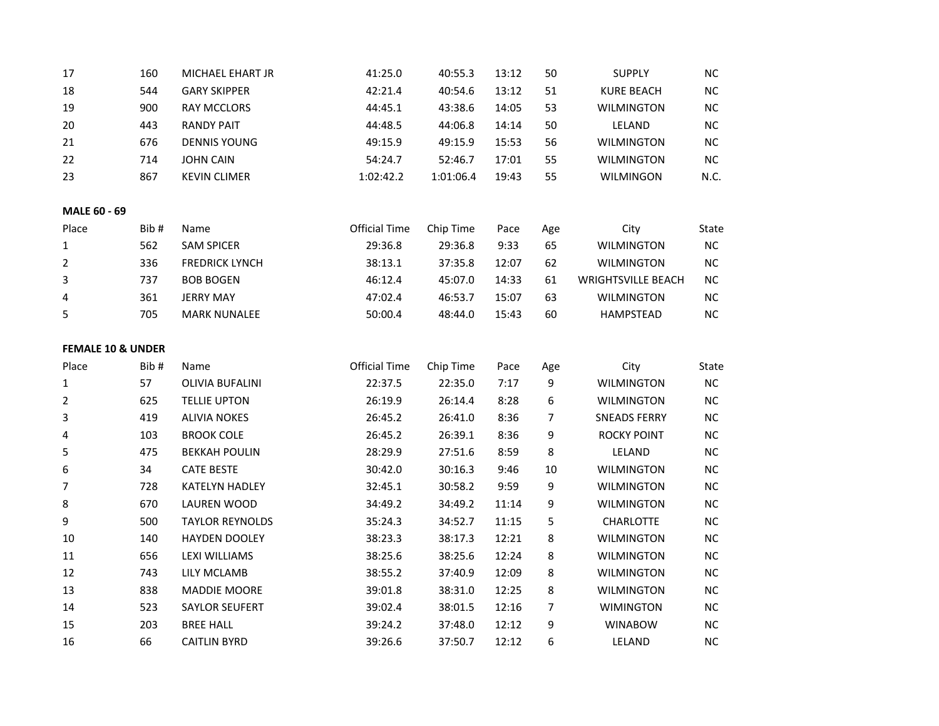| 17                           | 160  | MICHAEL EHART JR       | 41:25.0              | 40:55.3   | 13:12 | 50  | <b>SUPPLY</b>             | $NC$       |
|------------------------------|------|------------------------|----------------------|-----------|-------|-----|---------------------------|------------|
| 18                           | 544  | <b>GARY SKIPPER</b>    | 42:21.4              | 40:54.6   | 13:12 | 51  | <b>KURE BEACH</b>         | $NC$       |
| 19                           | 900  | <b>RAY MCCLORS</b>     | 44:45.1              | 43:38.6   | 14:05 | 53  | <b>WILMINGTON</b>         | NC         |
| 20                           | 443  | <b>RANDY PAIT</b>      | 44:48.5              | 44:06.8   | 14:14 | 50  | LELAND                    | $NC$       |
| 21                           | 676  | <b>DENNIS YOUNG</b>    | 49:15.9              | 49:15.9   | 15:53 | 56  | <b>WILMINGTON</b>         | <b>NC</b>  |
| 22                           | 714  | <b>JOHN CAIN</b>       | 54:24.7              | 52:46.7   | 17:01 | 55  | <b>WILMINGTON</b>         | $\sf NC$   |
| 23                           | 867  | <b>KEVIN CLIMER</b>    | 1:02:42.2            | 1:01:06.4 | 19:43 | 55  | WILMINGON                 | N.C.       |
|                              |      |                        |                      |           |       |     |                           |            |
| <b>MALE 60 - 69</b>          |      |                        |                      |           |       |     |                           |            |
| Place                        | Bib# | Name                   | <b>Official Time</b> | Chip Time | Pace  | Age | City                      | State      |
| 1                            | 562  | <b>SAM SPICER</b>      | 29:36.8              | 29:36.8   | 9:33  | 65  | <b>WILMINGTON</b>         | $\sf NC$   |
| $\overline{2}$               | 336  | <b>FREDRICK LYNCH</b>  | 38:13.1              | 37:35.8   | 12:07 | 62  | <b>WILMINGTON</b>         | $NC$       |
| 3                            | 737  | <b>BOB BOGEN</b>       | 46:12.4              | 45:07.0   | 14:33 | 61  | <b>WRIGHTSVILLE BEACH</b> | $NC$       |
| 4                            | 361  | <b>JERRY MAY</b>       | 47:02.4              | 46:53.7   | 15:07 | 63  | <b>WILMINGTON</b>         | <b>NC</b>  |
| 5                            | 705  | <b>MARK NUNALEE</b>    | 50:00.4              | 48:44.0   | 15:43 | 60  | <b>HAMPSTEAD</b>          | $NC$       |
|                              |      |                        |                      |           |       |     |                           |            |
| <b>FEMALE 10 &amp; UNDER</b> |      |                        |                      |           |       |     |                           |            |
|                              |      |                        |                      |           |       |     |                           |            |
| Place                        | Bib# | Name                   | <b>Official Time</b> | Chip Time | Pace  | Age | City                      | State      |
| 1                            | 57   | <b>OLIVIA BUFALINI</b> | 22:37.5              | 22:35.0   | 7:17  | 9   | <b>WILMINGTON</b>         | <b>NC</b>  |
| 2                            | 625  | <b>TELLIE UPTON</b>    | 26:19.9              | 26:14.4   | 8:28  | 6   | <b>WILMINGTON</b>         | ${\sf NC}$ |
| 3                            | 419  | <b>ALIVIA NOKES</b>    | 26:45.2              | 26:41.0   | 8:36  | 7   | <b>SNEADS FERRY</b>       | $NC$       |
| 4                            | 103  | <b>BROOK COLE</b>      | 26:45.2              | 26:39.1   | 8:36  | 9   | <b>ROCKY POINT</b>        | NC         |
| 5                            | 475  | <b>BEKKAH POULIN</b>   | 28:29.9              | 27:51.6   | 8:59  | 8   | LELAND                    | $NC$       |
| 6                            | 34   | <b>CATE BESTE</b>      | 30:42.0              | 30:16.3   | 9:46  | 10  | <b>WILMINGTON</b>         | $NC$       |
| 7                            | 728  | KATELYN HADLEY         | 32:45.1              | 30:58.2   | 9:59  | 9   | <b>WILMINGTON</b>         | $NC$       |
| 8                            | 670  | LAUREN WOOD            | 34:49.2              | 34:49.2   | 11:14 | 9   | <b>WILMINGTON</b>         | $NC$       |
| 9                            | 500  | <b>TAYLOR REYNOLDS</b> | 35:24.3              | 34:52.7   | 11:15 | 5   | <b>CHARLOTTE</b>          | NC         |
| 10                           | 140  | <b>HAYDEN DOOLEY</b>   | 38:23.3              | 38:17.3   | 12:21 | 8   | <b>WILMINGTON</b>         | NC         |
| 11                           | 656  | LEXI WILLIAMS          | 38:25.6              | 38:25.6   | 12:24 | 8   | <b>WILMINGTON</b>         | $NC$       |
| 12                           | 743  | LILY MCLAMB            | 38:55.2              | 37:40.9   | 12:09 | 8   | <b>WILMINGTON</b>         | $NC$       |
| 13                           | 838  | MADDIE MOORE           | 39:01.8              | 38:31.0   | 12:25 | 8   | <b>WILMINGTON</b>         | $NC$       |
| 14                           | 523  | <b>SAYLOR SEUFERT</b>  | 39:02.4              | 38:01.5   | 12:16 | 7   | <b>WIMINGTON</b>          | $NC$       |
| 15                           | 203  | <b>BREE HALL</b>       | 39:24.2              | 37:48.0   | 12:12 | 9   | <b>WINABOW</b>            | $NC$       |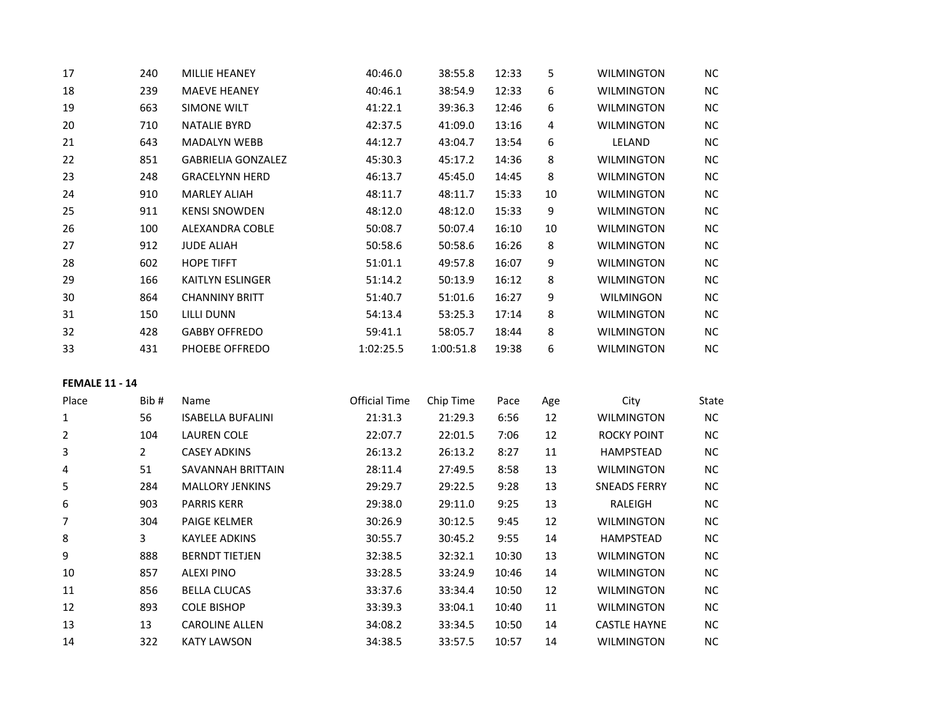| 17 | 240 | <b>MILLIE HEANEY</b>      | 40:46.0   | 38:55.8   | 12:33 | 5  | <b>WILMINGTON</b> | NC.       |
|----|-----|---------------------------|-----------|-----------|-------|----|-------------------|-----------|
| 18 | 239 | <b>MAEVE HEANEY</b>       | 40:46.1   | 38:54.9   | 12:33 | 6  | <b>WILMINGTON</b> | <b>NC</b> |
| 19 | 663 | <b>SIMONE WILT</b>        | 41:22.1   | 39:36.3   | 12:46 | 6  | <b>WILMINGTON</b> | <b>NC</b> |
| 20 | 710 | <b>NATALIE BYRD</b>       | 42:37.5   | 41:09.0   | 13:16 | 4  | <b>WILMINGTON</b> | NC.       |
| 21 | 643 | <b>MADALYN WEBB</b>       | 44:12.7   | 43:04.7   | 13:54 | 6  | LELAND            | NC.       |
| 22 | 851 | <b>GABRIELIA GONZALEZ</b> | 45:30.3   | 45:17.2   | 14:36 | 8  | <b>WILMINGTON</b> | <b>NC</b> |
| 23 | 248 | <b>GRACELYNN HERD</b>     | 46:13.7   | 45:45.0   | 14:45 | 8  | <b>WILMINGTON</b> | <b>NC</b> |
| 24 | 910 | <b>MARLEY ALIAH</b>       | 48:11.7   | 48:11.7   | 15:33 | 10 | <b>WILMINGTON</b> | <b>NC</b> |
| 25 | 911 | <b>KENSI SNOWDEN</b>      | 48:12.0   | 48:12.0   | 15:33 | 9  | <b>WILMINGTON</b> | <b>NC</b> |
| 26 | 100 | <b>ALEXANDRA COBLE</b>    | 50:08.7   | 50:07.4   | 16:10 | 10 | <b>WILMINGTON</b> | NC.       |
| 27 | 912 | <b>JUDE ALIAH</b>         | 50:58.6   | 50:58.6   | 16:26 | 8  | <b>WILMINGTON</b> | <b>NC</b> |
| 28 | 602 | <b>HOPE TIFFT</b>         | 51:01.1   | 49:57.8   | 16:07 | 9  | <b>WILMINGTON</b> | <b>NC</b> |
| 29 | 166 | <b>KAITLYN ESLINGER</b>   | 51:14.2   | 50:13.9   | 16:12 | 8  | <b>WILMINGTON</b> | <b>NC</b> |
| 30 | 864 | <b>CHANNINY BRITT</b>     | 51:40.7   | 51:01.6   | 16:27 | 9  | <b>WILMINGON</b>  | NC.       |
| 31 | 150 | LILLI DUNN                | 54:13.4   | 53:25.3   | 17:14 | 8  | <b>WILMINGTON</b> | NC.       |
| 32 | 428 | <b>GABBY OFFREDO</b>      | 59:41.1   | 58:05.7   | 18:44 | 8  | <b>WILMINGTON</b> | NC.       |
| 33 | 431 | PHOEBE OFFREDO            | 1:02:25.5 | 1:00:51.8 | 19:38 | 6  | <b>WILMINGTON</b> | NC.       |

## **FEMALE 11 - 14**

| Place | Bib#           | Name                     | Official Time | Chip Time | Pace  | Age | City                | State     |
|-------|----------------|--------------------------|---------------|-----------|-------|-----|---------------------|-----------|
| 1     | 56             | <b>ISABELLA BUFALINI</b> | 21:31.3       | 21:29.3   | 6:56  | 12  | <b>WILMINGTON</b>   | NC.       |
| 2     | 104            | LAUREN COLE              | 22:07.7       | 22:01.5   | 7:06  | 12  | <b>ROCKY POINT</b>  | NC.       |
| 3     | $\overline{2}$ | <b>CASEY ADKINS</b>      | 26:13.2       | 26:13.2   | 8:27  | 11  | <b>HAMPSTEAD</b>    | NC.       |
| 4     | 51             | SAVANNAH BRITTAIN        | 28:11.4       | 27:49.5   | 8:58  | 13  | <b>WILMINGTON</b>   | NC.       |
| 5     | 284            | <b>MALLORY JENKINS</b>   | 29:29.7       | 29:22.5   | 9:28  | 13  | <b>SNEADS FERRY</b> | NC.       |
| 6     | 903            | <b>PARRIS KERR</b>       | 29:38.0       | 29:11.0   | 9:25  | 13  | RALEIGH             | <b>NC</b> |
| 7     | 304            | <b>PAIGE KELMER</b>      | 30:26.9       | 30:12.5   | 9:45  | 12  | <b>WILMINGTON</b>   | NC.       |
| 8     | 3              | KAYLEE ADKINS            | 30:55.7       | 30:45.2   | 9:55  | 14  | <b>HAMPSTEAD</b>    | <b>NC</b> |
| 9     | 888            | <b>BERNDT TIETJEN</b>    | 32:38.5       | 32:32.1   | 10:30 | 13  | <b>WILMINGTON</b>   | NC.       |
| 10    | 857            | ALEXI PINO               | 33:28.5       | 33:24.9   | 10:46 | 14  | <b>WILMINGTON</b>   | NC.       |
| 11    | 856            | <b>BELLA CLUCAS</b>      | 33:37.6       | 33:34.4   | 10:50 | 12  | <b>WILMINGTON</b>   | NC.       |
| 12    | 893            | <b>COLE BISHOP</b>       | 33:39.3       | 33:04.1   | 10:40 | 11  | <b>WILMINGTON</b>   | NC.       |
| 13    | 13             | <b>CAROLINE ALLEN</b>    | 34:08.2       | 33:34.5   | 10:50 | 14  | <b>CASTLE HAYNE</b> | NC.       |
| 14    | 322            | <b>KATY LAWSON</b>       | 34:38.5       | 33:57.5   | 10:57 | 14  | <b>WILMINGTON</b>   | NC.       |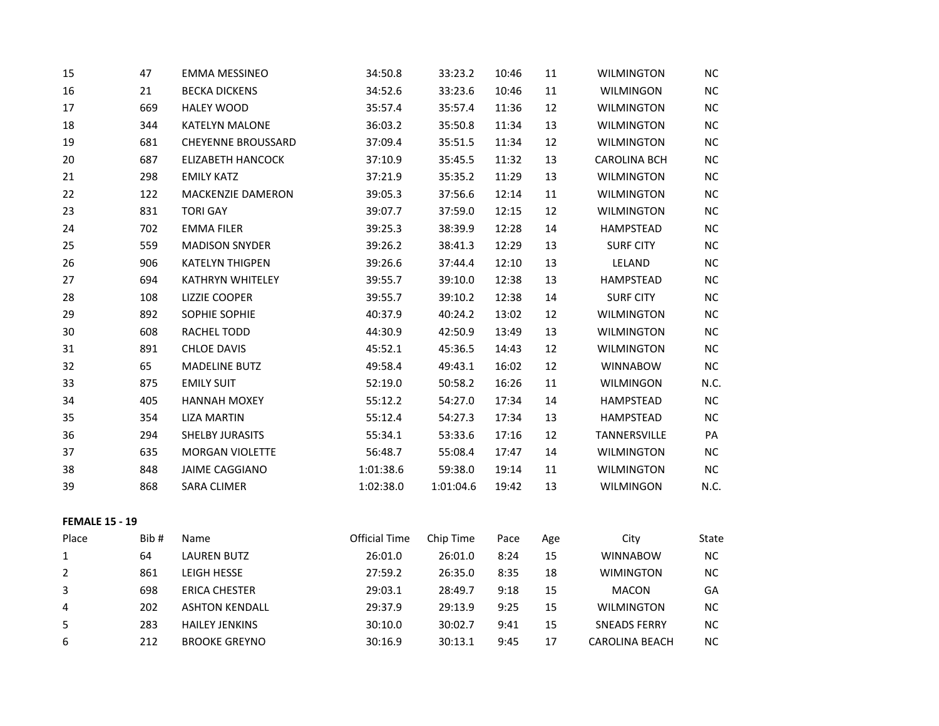| 15                    | 47   | <b>EMMA MESSINEO</b>      | 34:50.8              | 33:23.2   | 10:46 | 11  | <b>WILMINGTON</b>   | NC        |
|-----------------------|------|---------------------------|----------------------|-----------|-------|-----|---------------------|-----------|
| 16                    | 21   | <b>BECKA DICKENS</b>      | 34:52.6              | 33:23.6   | 10:46 | 11  | WILMINGON           | NC        |
| 17                    | 669  | <b>HALEY WOOD</b>         | 35:57.4              | 35:57.4   | 11:36 | 12  | <b>WILMINGTON</b>   | NC        |
| 18                    | 344  | <b>KATELYN MALONE</b>     | 36:03.2              | 35:50.8   | 11:34 | 13  | <b>WILMINGTON</b>   | NC        |
| 19                    | 681  | <b>CHEYENNE BROUSSARD</b> | 37:09.4              | 35:51.5   | 11:34 | 12  | <b>WILMINGTON</b>   | $NC$      |
| 20                    | 687  | <b>ELIZABETH HANCOCK</b>  | 37:10.9              | 35:45.5   | 11:32 | 13  | <b>CAROLINA BCH</b> | $NC$      |
| 21                    | 298  | <b>EMILY KATZ</b>         | 37:21.9              | 35:35.2   | 11:29 | 13  | <b>WILMINGTON</b>   | $NC$      |
| 22                    | 122  | MACKENZIE DAMERON         | 39:05.3              | 37:56.6   | 12:14 | 11  | <b>WILMINGTON</b>   | $NC$      |
| 23                    | 831  | <b>TORI GAY</b>           | 39:07.7              | 37:59.0   | 12:15 | 12  | <b>WILMINGTON</b>   | $NC$      |
| 24                    | 702  | <b>EMMA FILER</b>         | 39:25.3              | 38:39.9   | 12:28 | 14  | HAMPSTEAD           | <b>NC</b> |
| 25                    | 559  | <b>MADISON SNYDER</b>     | 39:26.2              | 38:41.3   | 12:29 | 13  | <b>SURF CITY</b>    | NC        |
| 26                    | 906  | <b>KATELYN THIGPEN</b>    | 39:26.6              | 37:44.4   | 12:10 | 13  | LELAND              | $NC$      |
| 27                    | 694  | <b>KATHRYN WHITELEY</b>   | 39:55.7              | 39:10.0   | 12:38 | 13  | <b>HAMPSTEAD</b>    | NC        |
| 28                    | 108  | <b>LIZZIE COOPER</b>      | 39:55.7              | 39:10.2   | 12:38 | 14  | <b>SURF CITY</b>    | $NC$      |
| 29                    | 892  | SOPHIE SOPHIE             | 40:37.9              | 40:24.2   | 13:02 | 12  | <b>WILMINGTON</b>   | $NC$      |
| 30                    | 608  | RACHEL TODD               | 44:30.9              | 42:50.9   | 13:49 | 13  | <b>WILMINGTON</b>   | $NC$      |
| 31                    | 891  | <b>CHLOE DAVIS</b>        | 45:52.1              | 45:36.5   | 14:43 | 12  | <b>WILMINGTON</b>   | $NC$      |
| 32                    | 65   | <b>MADELINE BUTZ</b>      | 49:58.4              | 49:43.1   | 16:02 | 12  | <b>WINNABOW</b>     | $NC$      |
| 33                    | 875  | <b>EMILY SUIT</b>         | 52:19.0              | 50:58.2   | 16:26 | 11  | WILMINGON           | N.C.      |
| 34                    | 405  | <b>HANNAH MOXEY</b>       | 55:12.2              | 54:27.0   | 17:34 | 14  | HAMPSTEAD           | NC        |
| 35                    | 354  | <b>LIZA MARTIN</b>        | 55:12.4              | 54:27.3   | 17:34 | 13  | <b>HAMPSTEAD</b>    | NC        |
| 36                    | 294  | SHELBY JURASITS           | 55:34.1              | 53:33.6   | 17:16 | 12  | TANNERSVILLE        | PA        |
| 37                    | 635  | <b>MORGAN VIOLETTE</b>    | 56:48.7              | 55:08.4   | 17:47 | 14  | <b>WILMINGTON</b>   | NC        |
| 38                    | 848  | <b>JAIME CAGGIANO</b>     | 1:01:38.6            | 59:38.0   | 19:14 | 11  | WILMINGTON          | $NC$      |
| 39                    | 868  | <b>SARA CLIMER</b>        | 1:02:38.0            | 1:01:04.6 | 19:42 | 13  | WILMINGON           | N.C.      |
| <b>FEMALE 15 - 19</b> |      |                           |                      |           |       |     |                     |           |
| Place                 | Bib# | Name                      | <b>Official Time</b> | Chip Time | Pace  | Age | City                | State     |
| 1                     | 64   | <b>LAUREN BUTZ</b>        | 26:01.0              | 26:01.0   | 8:24  | 15  | <b>WINNABOW</b>     | $NC$      |
| $\overline{2}$        | 861  | LEIGH HESSE               | 27:59.2              | 26:35.0   | 8:35  | 18  | <b>WIMINGTON</b>    | $NC$      |
| 3                     | 698  | <b>ERICA CHESTER</b>      | 29:03.1              | 28:49.7   | 9:18  | 15  | <b>MACON</b>        | GA        |

 202 ASHTON KENDALL 29:37.9 29:13.9 9:25 15 WILMINGTON NC 283 HAILEY JENKINS 30:10.0 30:02.7 9:41 15 SNEADS FERRY NC 212 BROOKE GREYNO 30:16.9 30:13.1 9:45 17 CAROLINA BEACH NC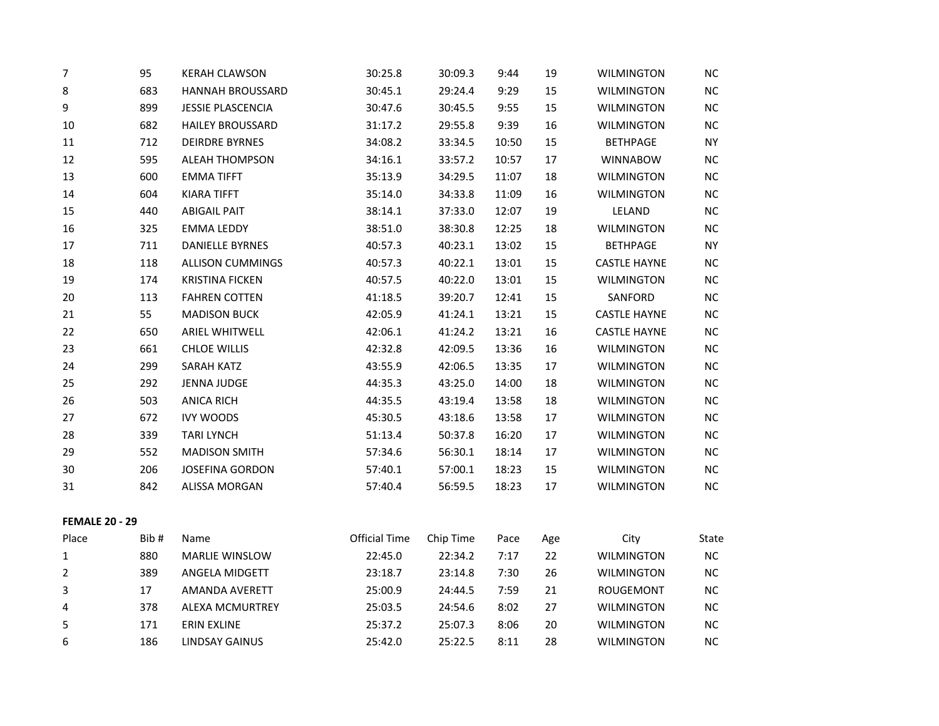| $\overline{7}$        | 95   | <b>KERAH CLAWSON</b>     | 30:25.8              | 30:09.3   | 9:44  | 19  | <b>WILMINGTON</b>   | <b>NC</b> |
|-----------------------|------|--------------------------|----------------------|-----------|-------|-----|---------------------|-----------|
| 8                     | 683  | <b>HANNAH BROUSSARD</b>  | 30:45.1              | 29:24.4   | 9:29  | 15  | <b>WILMINGTON</b>   | $NC$      |
| 9                     | 899  | <b>JESSIE PLASCENCIA</b> | 30:47.6              | 30:45.5   | 9:55  | 15  | <b>WILMINGTON</b>   | NC        |
| 10                    | 682  | <b>HAILEY BROUSSARD</b>  | 31:17.2              | 29:55.8   | 9:39  | 16  | <b>WILMINGTON</b>   | $NC$      |
| 11                    | 712  | <b>DEIRDRE BYRNES</b>    | 34:08.2              | 33:34.5   | 10:50 | 15  | <b>BETHPAGE</b>     | <b>NY</b> |
| 12                    | 595  | <b>ALEAH THOMPSON</b>    | 34:16.1              | 33:57.2   | 10:57 | 17  | <b>WINNABOW</b>     | NC        |
| 13                    | 600  | <b>EMMA TIFFT</b>        | 35:13.9              | 34:29.5   | 11:07 | 18  | <b>WILMINGTON</b>   | $NC$      |
| 14                    | 604  | <b>KIARA TIFFT</b>       | 35:14.0              | 34:33.8   | 11:09 | 16  | <b>WILMINGTON</b>   | NC        |
| 15                    | 440  | <b>ABIGAIL PAIT</b>      | 38:14.1              | 37:33.0   | 12:07 | 19  | LELAND              | $NC$      |
| 16                    | 325  | <b>EMMA LEDDY</b>        | 38:51.0              | 38:30.8   | 12:25 | 18  | <b>WILMINGTON</b>   | NC        |
| 17                    | 711  | <b>DANIELLE BYRNES</b>   | 40:57.3              | 40:23.1   | 13:02 | 15  | <b>BETHPAGE</b>     | <b>NY</b> |
| 18                    | 118  | <b>ALLISON CUMMINGS</b>  | 40:57.3              | 40:22.1   | 13:01 | 15  | <b>CASTLE HAYNE</b> | $NC$      |
| 19                    | 174  | <b>KRISTINA FICKEN</b>   | 40:57.5              | 40:22.0   | 13:01 | 15  | <b>WILMINGTON</b>   | NC        |
| 20                    | 113  | <b>FAHREN COTTEN</b>     | 41:18.5              | 39:20.7   | 12:41 | 15  | SANFORD             | $NC$      |
| 21                    | 55   | <b>MADISON BUCK</b>      | 42:05.9              | 41:24.1   | 13:21 | 15  | <b>CASTLE HAYNE</b> | $NC$      |
| 22                    | 650  | <b>ARIEL WHITWELL</b>    | 42:06.1              | 41:24.2   | 13:21 | 16  | <b>CASTLE HAYNE</b> | NC        |
| 23                    | 661  | <b>CHLOE WILLIS</b>      | 42:32.8              | 42:09.5   | 13:36 | 16  | <b>WILMINGTON</b>   | $NC$      |
| 24                    | 299  | SARAH KATZ               | 43:55.9              | 42:06.5   | 13:35 | 17  | <b>WILMINGTON</b>   | <b>NC</b> |
| 25                    | 292  | <b>JENNA JUDGE</b>       | 44:35.3              | 43:25.0   | 14:00 | 18  | <b>WILMINGTON</b>   | $NC$      |
| 26                    | 503  | <b>ANICA RICH</b>        | 44:35.5              | 43:19.4   | 13:58 | 18  | WILMINGTON          | NC        |
| 27                    | 672  | <b>IVY WOODS</b>         | 45:30.5              | 43:18.6   | 13:58 | 17  | <b>WILMINGTON</b>   | $NC$      |
| 28                    | 339  | <b>TARI LYNCH</b>        | 51:13.4              | 50:37.8   | 16:20 | 17  | <b>WILMINGTON</b>   | $NC$      |
| 29                    | 552  | <b>MADISON SMITH</b>     | 57:34.6              | 56:30.1   | 18:14 | 17  | <b>WILMINGTON</b>   | $NC$      |
| 30                    | 206  | <b>JOSEFINA GORDON</b>   | 57:40.1              | 57:00.1   | 18:23 | 15  | WILMINGTON          | $\sf NC$  |
| 31                    | 842  | ALISSA MORGAN            | 57:40.4              | 56:59.5   | 18:23 | 17  | <b>WILMINGTON</b>   | $NC$      |
| <b>FEMALE 20 - 29</b> |      |                          |                      |           |       |     |                     |           |
| Place                 | Bib# | Name                     | <b>Official Time</b> | Chip Time | Pace  | Age | City                | State     |
| $\mathbf 1$           | 880  | <b>MARLIE WINSLOW</b>    | 22:45.0              | 22:34.2   | 7:17  | 22  | <b>WILMINGTON</b>   | $NC$      |
| 2                     | 389  | ANGELA MIDGETT           | 23:18.7              | 23:14.8   | 7:30  | 26  | <b>WILMINGTON</b>   | $NC$      |
| 3                     | 17   | AMANDA AVERETT           | 25:00.9              | 24:44.5   | 7:59  | 21  | ROUGEMONT           | $NC$      |
| 4                     | 378  | ALEXA MCMURTREY          | 25:03.5              | 24:54.6   | 8:02  | 27  | <b>WILMINGTON</b>   | $NC$      |
| 5                     | 171  | <b>ERIN EXLINE</b>       | 25:37.2              | 25:07.3   | 8:06  | 20  | <b>WILMINGTON</b>   | $NC$      |
| 6                     | 186  | <b>LINDSAY GAINUS</b>    | 25:42.0              | 25:22.5   | 8:11  | 28  | <b>WILMINGTON</b>   | $NC$      |
|                       |      |                          |                      |           |       |     |                     |           |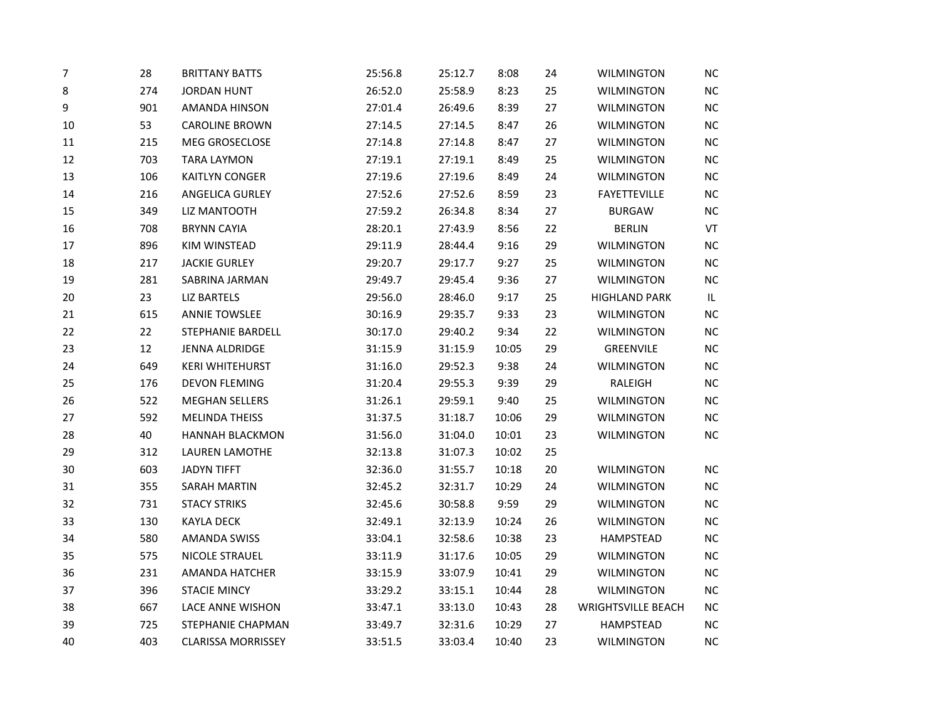| 7  | 28  | <b>BRITTANY BATTS</b>     | 25:56.8 | 25:12.7 | 8:08  | 24 | <b>WILMINGTON</b>         | NC        |
|----|-----|---------------------------|---------|---------|-------|----|---------------------------|-----------|
| 8  | 274 | <b>JORDAN HUNT</b>        | 26:52.0 | 25:58.9 | 8:23  | 25 | <b>WILMINGTON</b>         | $NC$      |
| 9  | 901 | AMANDA HINSON             | 27:01.4 | 26:49.6 | 8:39  | 27 | <b>WILMINGTON</b>         | <b>NC</b> |
| 10 | 53  | <b>CAROLINE BROWN</b>     | 27:14.5 | 27:14.5 | 8:47  | 26 | <b>WILMINGTON</b>         | NC        |
| 11 | 215 | MEG GROSECLOSE            | 27:14.8 | 27:14.8 | 8:47  | 27 | <b>WILMINGTON</b>         | NC        |
| 12 | 703 | <b>TARA LAYMON</b>        | 27:19.1 | 27:19.1 | 8:49  | 25 | <b>WILMINGTON</b>         | <b>NC</b> |
| 13 | 106 | KAITLYN CONGER            | 27:19.6 | 27:19.6 | 8:49  | 24 | <b>WILMINGTON</b>         | NC        |
| 14 | 216 | ANGELICA GURLEY           | 27:52.6 | 27:52.6 | 8:59  | 23 | <b>FAYETTEVILLE</b>       | <b>NC</b> |
| 15 | 349 | LIZ MANTOOTH              | 27:59.2 | 26:34.8 | 8:34  | 27 | <b>BURGAW</b>             | <b>NC</b> |
| 16 | 708 | <b>BRYNN CAYIA</b>        | 28:20.1 | 27:43.9 | 8:56  | 22 | <b>BERLIN</b>             | VT        |
| 17 | 896 | KIM WINSTEAD              | 29:11.9 | 28:44.4 | 9:16  | 29 | <b>WILMINGTON</b>         | NC        |
| 18 | 217 | <b>JACKIE GURLEY</b>      | 29:20.7 | 29:17.7 | 9:27  | 25 | <b>WILMINGTON</b>         | <b>NC</b> |
| 19 | 281 | SABRINA JARMAN            | 29:49.7 | 29:45.4 | 9:36  | 27 | <b>WILMINGTON</b>         | NC        |
| 20 | 23  | <b>LIZ BARTELS</b>        | 29:56.0 | 28:46.0 | 9:17  | 25 | <b>HIGHLAND PARK</b>      | IL        |
| 21 | 615 | <b>ANNIE TOWSLEE</b>      | 30:16.9 | 29:35.7 | 9:33  | 23 | <b>WILMINGTON</b>         | <b>NC</b> |
| 22 | 22  | STEPHANIE BARDELL         | 30:17.0 | 29:40.2 | 9:34  | 22 | <b>WILMINGTON</b>         | NC        |
| 23 | 12  | JENNA ALDRIDGE            | 31:15.9 | 31:15.9 | 10:05 | 29 | GREENVILE                 | <b>NC</b> |
| 24 | 649 | <b>KERI WHITEHURST</b>    | 31:16.0 | 29:52.3 | 9:38  | 24 | <b>WILMINGTON</b>         | <b>NC</b> |
| 25 | 176 | <b>DEVON FLEMING</b>      | 31:20.4 | 29:55.3 | 9:39  | 29 | RALEIGH                   | NC        |
| 26 | 522 | <b>MEGHAN SELLERS</b>     | 31:26.1 | 29:59.1 | 9:40  | 25 | <b>WILMINGTON</b>         | <b>NC</b> |
| 27 | 592 | <b>MELINDA THEISS</b>     | 31:37.5 | 31:18.7 | 10:06 | 29 | <b>WILMINGTON</b>         | NC        |
| 28 | 40  | <b>HANNAH BLACKMON</b>    | 31:56.0 | 31:04.0 | 10:01 | 23 | <b>WILMINGTON</b>         | <b>NC</b> |
| 29 | 312 | <b>LAUREN LAMOTHE</b>     | 32:13.8 | 31:07.3 | 10:02 | 25 |                           |           |
| 30 | 603 | <b>JADYN TIFFT</b>        | 32:36.0 | 31:55.7 | 10:18 | 20 | <b>WILMINGTON</b>         | NC        |
| 31 | 355 | <b>SARAH MARTIN</b>       | 32:45.2 | 32:31.7 | 10:29 | 24 | <b>WILMINGTON</b>         | $NC$      |
| 32 | 731 | <b>STACY STRIKS</b>       | 32:45.6 | 30:58.8 | 9:59  | 29 | <b>WILMINGTON</b>         | NC        |
| 33 | 130 | <b>KAYLA DECK</b>         | 32:49.1 | 32:13.9 | 10:24 | 26 | <b>WILMINGTON</b>         | <b>NC</b> |
| 34 | 580 | <b>AMANDA SWISS</b>       | 33:04.1 | 32:58.6 | 10:38 | 23 | HAMPSTEAD                 | <b>NC</b> |
| 35 | 575 | NICOLE STRAUEL            | 33:11.9 | 31:17.6 | 10:05 | 29 | <b>WILMINGTON</b>         | NC        |
| 36 | 231 | <b>AMANDA HATCHER</b>     | 33:15.9 | 33:07.9 | 10:41 | 29 | WILMINGTON                | <b>NC</b> |
| 37 | 396 | <b>STACIE MINCY</b>       | 33:29.2 | 33:15.1 | 10:44 | 28 | <b>WILMINGTON</b>         | NC        |
| 38 | 667 | LACE ANNE WISHON          | 33:47.1 | 33:13.0 | 10:43 | 28 | <b>WRIGHTSVILLE BEACH</b> | NC        |
| 39 | 725 | STEPHANIE CHAPMAN         | 33:49.7 | 32:31.6 | 10:29 | 27 | HAMPSTEAD                 | NC        |
| 40 | 403 | <b>CLARISSA MORRISSEY</b> | 33:51.5 | 33:03.4 | 10:40 | 23 | <b>WILMINGTON</b>         | NC        |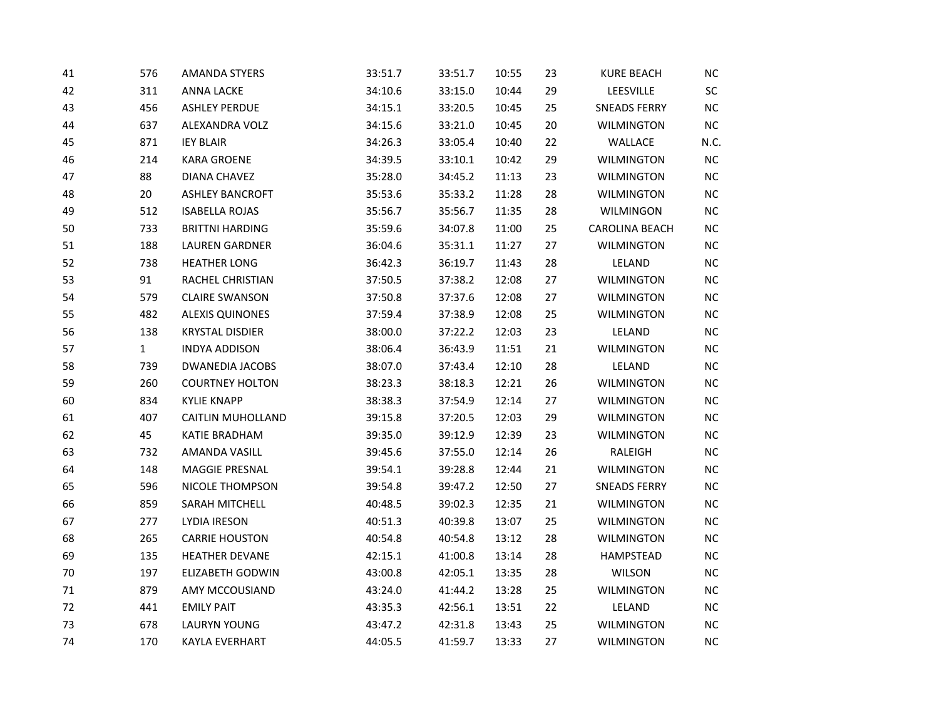| 41 | 576          | <b>AMANDA STYERS</b>     | 33:51.7 | 33:51.7 | 10:55 | 23 | <b>KURE BEACH</b>   | $NC$      |
|----|--------------|--------------------------|---------|---------|-------|----|---------------------|-----------|
| 42 | 311          | <b>ANNA LACKE</b>        | 34:10.6 | 33:15.0 | 10:44 | 29 | LEESVILLE           | SC        |
| 43 | 456          | <b>ASHLEY PERDUE</b>     | 34:15.1 | 33:20.5 | 10:45 | 25 | <b>SNEADS FERRY</b> | $NC$      |
| 44 | 637          | ALEXANDRA VOLZ           | 34:15.6 | 33:21.0 | 10:45 | 20 | <b>WILMINGTON</b>   | $NC$      |
| 45 | 871          | <b>IEY BLAIR</b>         | 34:26.3 | 33:05.4 | 10:40 | 22 | WALLACE             | N.C.      |
| 46 | 214          | <b>KARA GROENE</b>       | 34:39.5 | 33:10.1 | 10:42 | 29 | <b>WILMINGTON</b>   | <b>NC</b> |
| 47 | 88           | <b>DIANA CHAVEZ</b>      | 35:28.0 | 34:45.2 | 11:13 | 23 | <b>WILMINGTON</b>   | $NC$      |
| 48 | 20           | <b>ASHLEY BANCROFT</b>   | 35:53.6 | 35:33.2 | 11:28 | 28 | <b>WILMINGTON</b>   | $NC$      |
| 49 | 512          | <b>ISABELLA ROJAS</b>    | 35:56.7 | 35:56.7 | 11:35 | 28 | WILMINGON           | NC        |
| 50 | 733          | <b>BRITTNI HARDING</b>   | 35:59.6 | 34:07.8 | 11:00 | 25 | CAROLINA BEACH      | $NC$      |
| 51 | 188          | <b>LAUREN GARDNER</b>    | 36:04.6 | 35:31.1 | 11:27 | 27 | <b>WILMINGTON</b>   | $NC$      |
| 52 | 738          | <b>HEATHER LONG</b>      | 36:42.3 | 36:19.7 | 11:43 | 28 | LELAND              | $NC$      |
| 53 | 91           | RACHEL CHRISTIAN         | 37:50.5 | 37:38.2 | 12:08 | 27 | <b>WILMINGTON</b>   | $NC$      |
| 54 | 579          | <b>CLAIRE SWANSON</b>    | 37:50.8 | 37:37.6 | 12:08 | 27 | <b>WILMINGTON</b>   | $NC$      |
| 55 | 482          | <b>ALEXIS QUINONES</b>   | 37:59.4 | 37:38.9 | 12:08 | 25 | <b>WILMINGTON</b>   | $NC$      |
| 56 | 138          | <b>KRYSTAL DISDIER</b>   | 38:00.0 | 37:22.2 | 12:03 | 23 | LELAND              | NC        |
| 57 | $\mathbf{1}$ | <b>INDYA ADDISON</b>     | 38:06.4 | 36:43.9 | 11:51 | 21 | <b>WILMINGTON</b>   | $NC$      |
| 58 | 739          | <b>DWANEDIA JACOBS</b>   | 38:07.0 | 37:43.4 | 12:10 | 28 | LELAND              | NC        |
| 59 | 260          | <b>COURTNEY HOLTON</b>   | 38:23.3 | 38:18.3 | 12:21 | 26 | <b>WILMINGTON</b>   | NC        |
| 60 | 834          | <b>KYLIE KNAPP</b>       | 38:38.3 | 37:54.9 | 12:14 | 27 | <b>WILMINGTON</b>   | $NC$      |
| 61 | 407          | <b>CAITLIN MUHOLLAND</b> | 39:15.8 | 37:20.5 | 12:03 | 29 | <b>WILMINGTON</b>   | $NC$      |
| 62 | 45           | KATIE BRADHAM            | 39:35.0 | 39:12.9 | 12:39 | 23 | <b>WILMINGTON</b>   | NC        |
| 63 | 732          | AMANDA VASILL            | 39:45.6 | 37:55.0 | 12:14 | 26 | RALEIGH             | $NC$      |
| 64 | 148          | MAGGIE PRESNAL           | 39:54.1 | 39:28.8 | 12:44 | 21 | <b>WILMINGTON</b>   | $NC$      |
| 65 | 596          | <b>NICOLE THOMPSON</b>   | 39:54.8 | 39:47.2 | 12:50 | 27 | <b>SNEADS FERRY</b> | NC        |
| 66 | 859          | SARAH MITCHELL           | 40:48.5 | 39:02.3 | 12:35 | 21 | <b>WILMINGTON</b>   | $NC$      |
| 67 | 277          | <b>LYDIA IRESON</b>      | 40:51.3 | 40:39.8 | 13:07 | 25 | <b>WILMINGTON</b>   | $NC$      |
| 68 | 265          | <b>CARRIE HOUSTON</b>    | 40:54.8 | 40:54.8 | 13:12 | 28 | <b>WILMINGTON</b>   | NC        |
| 69 | 135          | HEATHER DEVANE           | 42:15.1 | 41:00.8 | 13:14 | 28 | HAMPSTEAD           | $NC$      |
| 70 | 197          | <b>ELIZABETH GODWIN</b>  | 43:00.8 | 42:05.1 | 13:35 | 28 | <b>WILSON</b>       | $NC$      |
| 71 | 879          | AMY MCCOUSIAND           | 43:24.0 | 41:44.2 | 13:28 | 25 | <b>WILMINGTON</b>   | NC        |
| 72 | 441          | <b>EMILY PAIT</b>        | 43:35.3 | 42:56.1 | 13:51 | 22 | LELAND              | <b>NC</b> |
| 73 | 678          | <b>LAURYN YOUNG</b>      | 43:47.2 | 42:31.8 | 13:43 | 25 | <b>WILMINGTON</b>   | $NC$      |
| 74 | 170          | <b>KAYLA EVERHART</b>    | 44:05.5 | 41:59.7 | 13:33 | 27 | <b>WILMINGTON</b>   | NC        |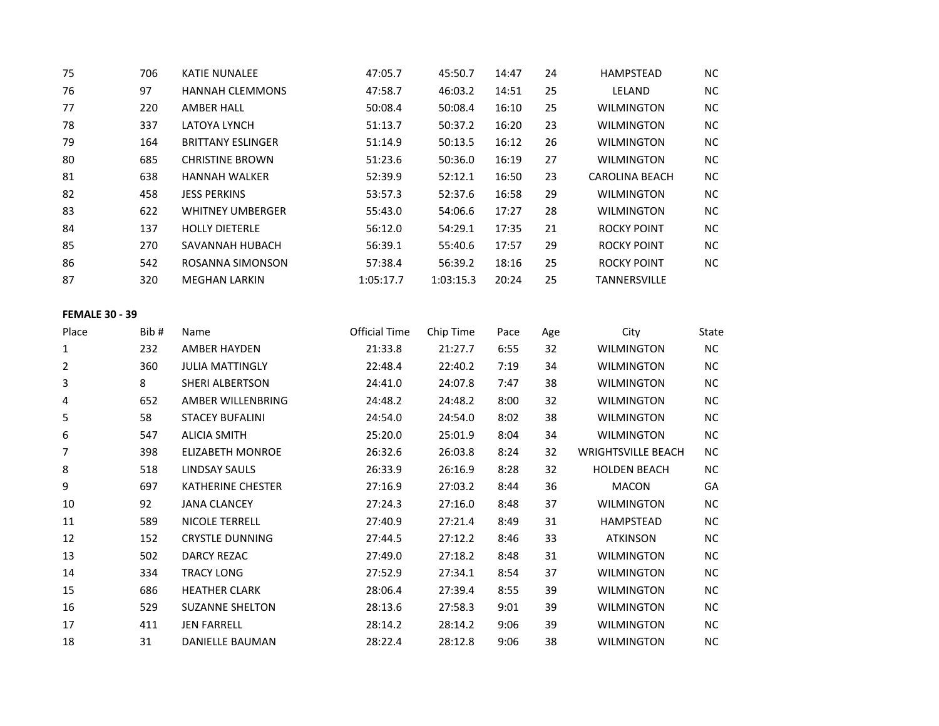| 75 | 706 | <b>KATIE NUNALEE</b>     | 47:05.7   | 45:50.7   | 14:47 | 24 | <b>HAMPSTEAD</b>      | NC.       |
|----|-----|--------------------------|-----------|-----------|-------|----|-----------------------|-----------|
| 76 | 97  | <b>HANNAH CLEMMONS</b>   | 47:58.7   | 46:03.2   | 14:51 | 25 | LELAND                | <b>NC</b> |
| 77 | 220 | <b>AMBER HALL</b>        | 50:08.4   | 50:08.4   | 16:10 | 25 | <b>WILMINGTON</b>     | <b>NC</b> |
| 78 | 337 | LATOYA LYNCH             | 51:13.7   | 50:37.2   | 16:20 | 23 | <b>WILMINGTON</b>     | <b>NC</b> |
| 79 | 164 | <b>BRITTANY ESLINGER</b> | 51:14.9   | 50:13.5   | 16:12 | 26 | <b>WILMINGTON</b>     | <b>NC</b> |
| 80 | 685 | <b>CHRISTINE BROWN</b>   | 51:23.6   | 50:36.0   | 16:19 | 27 | <b>WILMINGTON</b>     | <b>NC</b> |
| 81 | 638 | <b>HANNAH WALKER</b>     | 52:39.9   | 52:12.1   | 16:50 | 23 | <b>CAROLINA BEACH</b> | <b>NC</b> |
| 82 | 458 | <b>JESS PERKINS</b>      | 53:57.3   | 52:37.6   | 16:58 | 29 | <b>WILMINGTON</b>     | <b>NC</b> |
| 83 | 622 | <b>WHITNEY UMBERGER</b>  | 55:43.0   | 54:06.6   | 17:27 | 28 | <b>WILMINGTON</b>     | <b>NC</b> |
| 84 | 137 | <b>HOLLY DIETERLE</b>    | 56:12.0   | 54:29.1   | 17:35 | 21 | ROCKY POINT           | <b>NC</b> |
| 85 | 270 | SAVANNAH HUBACH          | 56:39.1   | 55:40.6   | 17:57 | 29 | <b>ROCKY POINT</b>    | <b>NC</b> |
| 86 | 542 | ROSANNA SIMONSON         | 57:38.4   | 56:39.2   | 18:16 | 25 | <b>ROCKY POINT</b>    | NC.       |
| 87 | 320 | <b>MEGHAN LARKIN</b>     | 1:05:17.7 | 1:03:15.3 | 20:24 | 25 | <b>TANNERSVILLE</b>   |           |

#### **FEMALE 30 - 39**

| Place | Bib# | Name                     | Official Time | Chip Time | Pace | Age | City                      | State |
|-------|------|--------------------------|---------------|-----------|------|-----|---------------------------|-------|
| 1     | 232  | AMBER HAYDEN             | 21:33.8       | 21:27.7   | 6:55 | 32  | <b>WILMINGTON</b>         | NC.   |
| 2     | 360  | <b>JULIA MATTINGLY</b>   | 22:48.4       | 22:40.2   | 7:19 | 34  | <b>WILMINGTON</b>         | NC.   |
| 3     | 8    | SHERI ALBERTSON          | 24:41.0       | 24:07.8   | 7:47 | 38  | <b>WILMINGTON</b>         | NC.   |
| 4     | 652  | AMBER WILLENBRING        | 24:48.2       | 24:48.2   | 8:00 | 32  | <b>WILMINGTON</b>         | NC    |
| 5     | 58   | <b>STACEY BUFALINI</b>   | 24:54.0       | 24:54.0   | 8:02 | 38  | <b>WILMINGTON</b>         | NC.   |
| 6     | 547  | <b>ALICIA SMITH</b>      | 25:20.0       | 25:01.9   | 8:04 | 34  | <b>WILMINGTON</b>         | NC.   |
|       | 398  | <b>ELIZABETH MONROE</b>  | 26:32.6       | 26:03.8   | 8:24 | 32  | <b>WRIGHTSVILLE BEACH</b> | NC.   |
| 8     | 518  | LINDSAY SAULS            | 26:33.9       | 26:16.9   | 8:28 | 32  | <b>HOLDEN BEACH</b>       | NC    |
| 9     | 697  | <b>KATHERINE CHESTER</b> | 27:16.9       | 27:03.2   | 8:44 | 36  | <b>MACON</b>              | GA    |
| 10    | 92   | <b>JANA CLANCEY</b>      | 27:24.3       | 27:16.0   | 8:48 | 37  | <b>WILMINGTON</b>         | NC.   |
| 11    | 589  | <b>NICOLE TERRELL</b>    | 27:40.9       | 27:21.4   | 8:49 | 31  | HAMPSTEAD                 | NC.   |
| 12    | 152  | <b>CRYSTLE DUNNING</b>   | 27:44.5       | 27:12.2   | 8:46 | 33  | <b>ATKINSON</b>           | NC.   |
| 13    | 502  | DARCY REZAC              | 27:49.0       | 27:18.2   | 8:48 | 31  | <b>WILMINGTON</b>         | NC    |
| 14    | 334  | <b>TRACY LONG</b>        | 27:52.9       | 27:34.1   | 8:54 | 37  | <b>WILMINGTON</b>         | NC.   |
| 15    | 686  | <b>HEATHER CLARK</b>     | 28:06.4       | 27:39.4   | 8:55 | 39  | <b>WILMINGTON</b>         | NC    |
| 16    | 529  | <b>SUZANNE SHELTON</b>   | 28:13.6       | 27:58.3   | 9:01 | 39  | <b>WILMINGTON</b>         | NC.   |
| 17    | 411  | <b>JEN FARRELL</b>       | 28:14.2       | 28:14.2   | 9:06 | 39  | <b>WILMINGTON</b>         | NC    |
| 18    | 31   | DANIELLE BAUMAN          | 28:22.4       | 28:12.8   | 9:06 | 38  | <b>WILMINGTON</b>         | NC.   |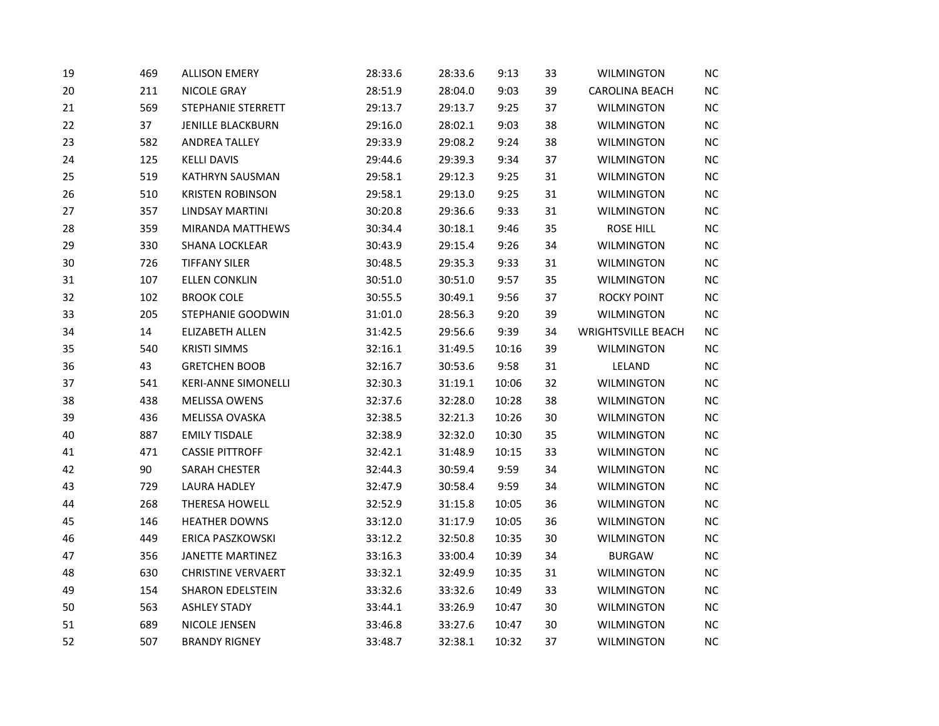| 19 | 469 | <b>ALLISON EMERY</b>       | 28:33.6 | 28:33.6 | 9:13  | 33 | <b>WILMINGTON</b>         | NC       |
|----|-----|----------------------------|---------|---------|-------|----|---------------------------|----------|
| 20 | 211 | NICOLE GRAY                | 28:51.9 | 28:04.0 | 9:03  | 39 | <b>CAROLINA BEACH</b>     | $NC$     |
| 21 | 569 | STEPHANIE STERRETT         | 29:13.7 | 29:13.7 | 9:25  | 37 | <b>WILMINGTON</b>         | $NC$     |
| 22 | 37  | <b>JENILLE BLACKBURN</b>   | 29:16.0 | 28:02.1 | 9:03  | 38 | <b>WILMINGTON</b>         | NC       |
| 23 | 582 | <b>ANDREA TALLEY</b>       | 29:33.9 | 29:08.2 | 9:24  | 38 | <b>WILMINGTON</b>         | NC       |
| 24 | 125 | <b>KELLI DAVIS</b>         | 29:44.6 | 29:39.3 | 9:34  | 37 | <b>WILMINGTON</b>         | $NC$     |
| 25 | 519 | <b>KATHRYN SAUSMAN</b>     | 29:58.1 | 29:12.3 | 9:25  | 31 | <b>WILMINGTON</b>         | NC       |
| 26 | 510 | <b>KRISTEN ROBINSON</b>    | 29:58.1 | 29:13.0 | 9:25  | 31 | <b>WILMINGTON</b>         | $NC$     |
| 27 | 357 | <b>LINDSAY MARTINI</b>     | 30:20.8 | 29:36.6 | 9:33  | 31 | <b>WILMINGTON</b>         | NC       |
| 28 | 359 | MIRANDA MATTHEWS           | 30:34.4 | 30:18.1 | 9:46  | 35 | <b>ROSE HILL</b>          | $NC$     |
| 29 | 330 | SHANA LOCKLEAR             | 30:43.9 | 29:15.4 | 9:26  | 34 | <b>WILMINGTON</b>         | $NC$     |
| 30 | 726 | <b>TIFFANY SILER</b>       | 30:48.5 | 29:35.3 | 9:33  | 31 | <b>WILMINGTON</b>         | $NC$     |
| 31 | 107 | <b>ELLEN CONKLIN</b>       | 30:51.0 | 30:51.0 | 9:57  | 35 | <b>WILMINGTON</b>         | NC       |
| 32 | 102 | <b>BROOK COLE</b>          | 30:55.5 | 30:49.1 | 9:56  | 37 | <b>ROCKY POINT</b>        | $NC$     |
| 33 | 205 | STEPHANIE GOODWIN          | 31:01.0 | 28:56.3 | 9:20  | 39 | <b>WILMINGTON</b>         | $NC$     |
| 34 | 14  | ELIZABETH ALLEN            | 31:42.5 | 29:56.6 | 9:39  | 34 | <b>WRIGHTSVILLE BEACH</b> | NC       |
| 35 | 540 | <b>KRISTI SIMMS</b>        | 32:16.1 | 31:49.5 | 10:16 | 39 | <b>WILMINGTON</b>         | $NC$     |
| 36 | 43  | <b>GRETCHEN BOOB</b>       | 32:16.7 | 30:53.6 | 9:58  | 31 | LELAND                    | NC       |
| 37 | 541 | <b>KERI-ANNE SIMONELLI</b> | 32:30.3 | 31:19.1 | 10:06 | 32 | <b>WILMINGTON</b>         | $NC$     |
| 38 | 438 | <b>MELISSA OWENS</b>       | 32:37.6 | 32:28.0 | 10:28 | 38 | <b>WILMINGTON</b>         | NC       |
| 39 | 436 | MELISSA OVASKA             | 32:38.5 | 32:21.3 | 10:26 | 30 | WILMINGTON                | $NC$     |
| 40 | 887 | <b>EMILY TISDALE</b>       | 32:38.9 | 32:32.0 | 10:30 | 35 | <b>WILMINGTON</b>         | $NC$     |
| 41 | 471 | <b>CASSIE PITTROFF</b>     | 32:42.1 | 31:48.9 | 10:15 | 33 | <b>WILMINGTON</b>         | $NC$     |
| 42 | 90  | SARAH CHESTER              | 32:44.3 | 30:59.4 | 9:59  | 34 | <b>WILMINGTON</b>         | $NC$     |
| 43 | 729 | LAURA HADLEY               | 32:47.9 | 30:58.4 | 9:59  | 34 | <b>WILMINGTON</b>         | $NC$     |
| 44 | 268 | <b>THERESA HOWELL</b>      | 32:52.9 | 31:15.8 | 10:05 | 36 | <b>WILMINGTON</b>         | $NC$     |
| 45 | 146 | <b>HEATHER DOWNS</b>       | 33:12.0 | 31:17.9 | 10:05 | 36 | <b>WILMINGTON</b>         | NC       |
| 46 | 449 | ERICA PASZKOWSKI           | 33:12.2 | 32:50.8 | 10:35 | 30 | <b>WILMINGTON</b>         | NC       |
| 47 | 356 | <b>JANETTE MARTINEZ</b>    | 33:16.3 | 33:00.4 | 10:39 | 34 | <b>BURGAW</b>             | $NC$     |
| 48 | 630 | <b>CHRISTINE VERVAERT</b>  | 33:32.1 | 32:49.9 | 10:35 | 31 | <b>WILMINGTON</b>         | $NC$     |
| 49 | 154 | <b>SHARON EDELSTEIN</b>    | 33:32.6 | 33:32.6 | 10:49 | 33 | <b>WILMINGTON</b>         | $NC$     |
| 50 | 563 | <b>ASHLEY STADY</b>        | 33:44.1 | 33:26.9 | 10:47 | 30 | <b>WILMINGTON</b>         | NC       |
| 51 | 689 | NICOLE JENSEN              | 33:46.8 | 33:27.6 | 10:47 | 30 | <b>WILMINGTON</b>         | $\sf NC$ |
| 52 | 507 | <b>BRANDY RIGNEY</b>       | 33:48.7 | 32:38.1 | 10:32 | 37 | <b>WILMINGTON</b>         | $NC$     |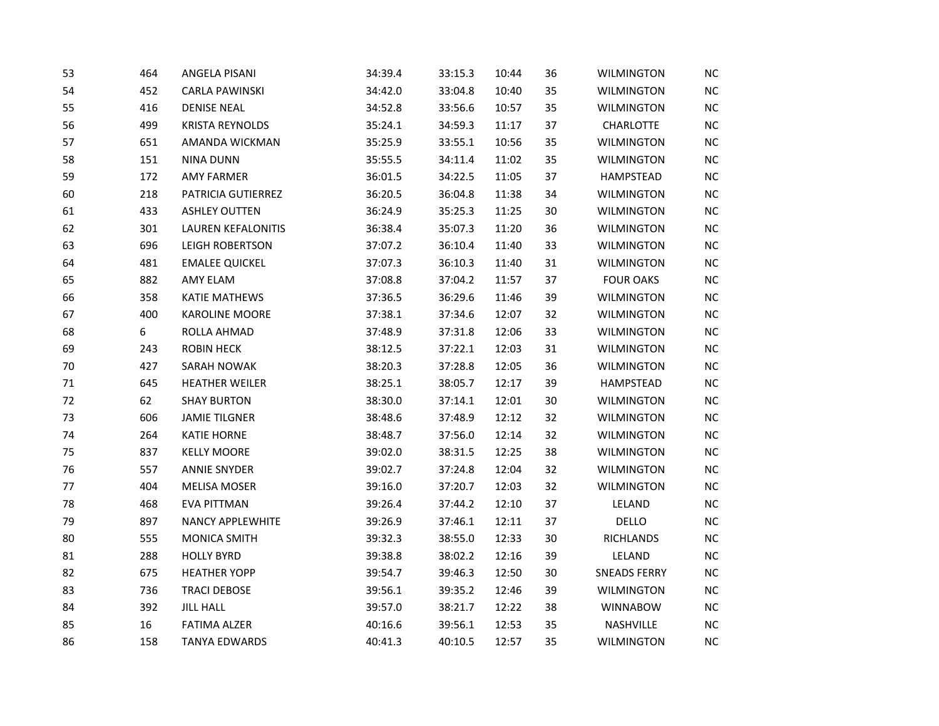| 53 | 464 | <b>ANGELA PISANI</b>      | 34:39.4 | 33:15.3 | 10:44 | 36 | <b>WILMINGTON</b>   | NC        |
|----|-----|---------------------------|---------|---------|-------|----|---------------------|-----------|
| 54 | 452 | <b>CARLA PAWINSKI</b>     | 34:42.0 | 33:04.8 | 10:40 | 35 | <b>WILMINGTON</b>   | NC        |
| 55 | 416 | <b>DENISE NEAL</b>        | 34:52.8 | 33:56.6 | 10:57 | 35 | <b>WILMINGTON</b>   | <b>NC</b> |
| 56 | 499 | <b>KRISTA REYNOLDS</b>    | 35:24.1 | 34:59.3 | 11:17 | 37 | <b>CHARLOTTE</b>    | NC        |
| 57 | 651 | AMANDA WICKMAN            | 35:25.9 | 33:55.1 | 10:56 | 35 | <b>WILMINGTON</b>   | $NC$      |
| 58 | 151 | <b>NINA DUNN</b>          | 35:55.5 | 34:11.4 | 11:02 | 35 | <b>WILMINGTON</b>   | NC        |
| 59 | 172 | AMY FARMER                | 36:01.5 | 34:22.5 | 11:05 | 37 | <b>HAMPSTEAD</b>    | <b>NC</b> |
| 60 | 218 | PATRICIA GUTIERREZ        | 36:20.5 | 36:04.8 | 11:38 | 34 | <b>WILMINGTON</b>   | <b>NC</b> |
| 61 | 433 | <b>ASHLEY OUTTEN</b>      | 36:24.9 | 35:25.3 | 11:25 | 30 | <b>WILMINGTON</b>   | NC        |
| 62 | 301 | <b>LAUREN KEFALONITIS</b> | 36:38.4 | 35:07.3 | 11:20 | 36 | <b>WILMINGTON</b>   | <b>NC</b> |
| 63 | 696 | LEIGH ROBERTSON           | 37:07.2 | 36:10.4 | 11:40 | 33 | <b>WILMINGTON</b>   | NC        |
| 64 | 481 | <b>EMALEE QUICKEL</b>     | 37:07.3 | 36:10.3 | 11:40 | 31 | <b>WILMINGTON</b>   | NC        |
| 65 | 882 | AMY ELAM                  | 37:08.8 | 37:04.2 | 11:57 | 37 | <b>FOUR OAKS</b>    | <b>NC</b> |
| 66 | 358 | <b>KATIE MATHEWS</b>      | 37:36.5 | 36:29.6 | 11:46 | 39 | <b>WILMINGTON</b>   | NC        |
| 67 | 400 | <b>KAROLINE MOORE</b>     | 37:38.1 | 37:34.6 | 12:07 | 32 | <b>WILMINGTON</b>   | NC        |
| 68 | 6   | ROLLA AHMAD               | 37:48.9 | 37:31.8 | 12:06 | 33 | <b>WILMINGTON</b>   | NC        |
| 69 | 243 | <b>ROBIN HECK</b>         | 38:12.5 | 37:22.1 | 12:03 | 31 | <b>WILMINGTON</b>   | <b>NC</b> |
| 70 | 427 | SARAH NOWAK               | 38:20.3 | 37:28.8 | 12:05 | 36 | <b>WILMINGTON</b>   | <b>NC</b> |
| 71 | 645 | <b>HEATHER WEILER</b>     | 38:25.1 | 38:05.7 | 12:17 | 39 | HAMPSTEAD           | $NC$      |
| 72 | 62  | <b>SHAY BURTON</b>        | 38:30.0 | 37:14.1 | 12:01 | 30 | <b>WILMINGTON</b>   | NC        |
| 73 | 606 | <b>JAMIE TILGNER</b>      | 38:48.6 | 37:48.9 | 12:12 | 32 | <b>WILMINGTON</b>   | <b>NC</b> |
| 74 | 264 | <b>KATIE HORNE</b>        | 38:48.7 | 37:56.0 | 12:14 | 32 | <b>WILMINGTON</b>   | <b>NC</b> |
| 75 | 837 | <b>KELLY MOORE</b>        | 39:02.0 | 38:31.5 | 12:25 | 38 | <b>WILMINGTON</b>   | NC        |
| 76 | 557 | <b>ANNIE SNYDER</b>       | 39:02.7 | 37:24.8 | 12:04 | 32 | <b>WILMINGTON</b>   | NC        |
| 77 | 404 | MELISA MOSER              | 39:16.0 | 37:20.7 | 12:03 | 32 | <b>WILMINGTON</b>   | NC        |
| 78 | 468 | EVA PITTMAN               | 39:26.4 | 37:44.2 | 12:10 | 37 | LELAND              | NC        |
| 79 | 897 | <b>NANCY APPLEWHITE</b>   | 39:26.9 | 37:46.1 | 12:11 | 37 | DELLO               | <b>NC</b> |
| 80 | 555 | MONICA SMITH              | 39:32.3 | 38:55.0 | 12:33 | 30 | <b>RICHLANDS</b>    | NC        |
| 81 | 288 | <b>HOLLY BYRD</b>         | 39:38.8 | 38:02.2 | 12:16 | 39 | LELAND              | NC        |
| 82 | 675 | <b>HEATHER YOPP</b>       | 39:54.7 | 39:46.3 | 12:50 | 30 | <b>SNEADS FERRY</b> | NC        |
| 83 | 736 | <b>TRACI DEBOSE</b>       | 39:56.1 | 39:35.2 | 12:46 | 39 | <b>WILMINGTON</b>   | NC        |
| 84 | 392 | <b>JILL HALL</b>          | 39:57.0 | 38:21.7 | 12:22 | 38 | <b>WINNABOW</b>     | <b>NC</b> |
| 85 | 16  | <b>FATIMA ALZER</b>       | 40:16.6 | 39:56.1 | 12:53 | 35 | NASHVILLE           | NC        |
| 86 | 158 | <b>TANYA EDWARDS</b>      | 40:41.3 | 40:10.5 | 12:57 | 35 | <b>WILMINGTON</b>   | NC        |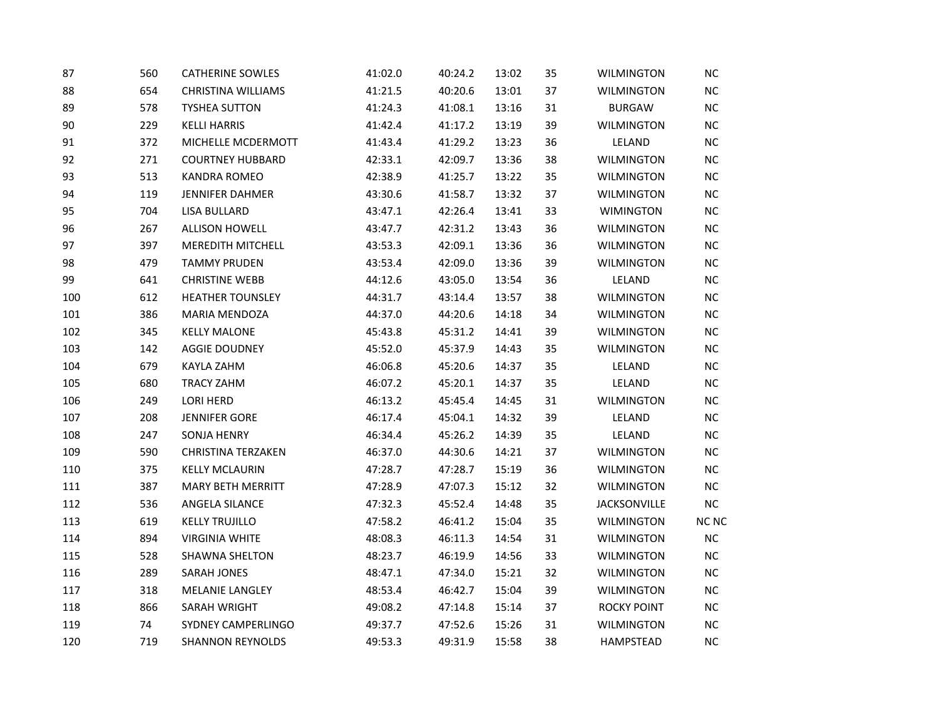| 87  | 560 | <b>CATHERINE SOWLES</b>   | 41:02.0 | 40:24.2 | 13:02 | 35 | <b>WILMINGTON</b>   | <b>NC</b>  |
|-----|-----|---------------------------|---------|---------|-------|----|---------------------|------------|
| 88  | 654 | <b>CHRISTINA WILLIAMS</b> | 41:21.5 | 40:20.6 | 13:01 | 37 | <b>WILMINGTON</b>   | $NC$       |
| 89  | 578 | <b>TYSHEA SUTTON</b>      | 41:24.3 | 41:08.1 | 13:16 | 31 | <b>BURGAW</b>       | ${\sf NC}$ |
| 90  | 229 | <b>KELLI HARRIS</b>       | 41:42.4 | 41:17.2 | 13:19 | 39 | <b>WILMINGTON</b>   | $NC$       |
| 91  | 372 | MICHELLE MCDERMOTT        | 41:43.4 | 41:29.2 | 13:23 | 36 | LELAND              | <b>NC</b>  |
| 92  | 271 | <b>COURTNEY HUBBARD</b>   | 42:33.1 | 42:09.7 | 13:36 | 38 | <b>WILMINGTON</b>   | <b>NC</b>  |
| 93  | 513 | KANDRA ROMEO              | 42:38.9 | 41:25.7 | 13:22 | 35 | <b>WILMINGTON</b>   | NC         |
| 94  | 119 | JENNIFER DAHMER           | 43:30.6 | 41:58.7 | 13:32 | 37 | WILMINGTON          | <b>NC</b>  |
| 95  | 704 | LISA BULLARD              | 43:47.1 | 42:26.4 | 13:41 | 33 | <b>WIMINGTON</b>    | NC         |
| 96  | 267 | <b>ALLISON HOWELL</b>     | 43:47.7 | 42:31.2 | 13:43 | 36 | <b>WILMINGTON</b>   | NC         |
| 97  | 397 | MEREDITH MITCHELL         | 43:53.3 | 42:09.1 | 13:36 | 36 | <b>WILMINGTON</b>   | <b>NC</b>  |
| 98  | 479 | <b>TAMMY PRUDEN</b>       | 43:53.4 | 42:09.0 | 13:36 | 39 | <b>WILMINGTON</b>   | $NC$       |
| 99  | 641 | <b>CHRISTINE WEBB</b>     | 44:12.6 | 43:05.0 | 13:54 | 36 | LELAND              | <b>NC</b>  |
| 100 | 612 | <b>HEATHER TOUNSLEY</b>   | 44:31.7 | 43:14.4 | 13:57 | 38 | <b>WILMINGTON</b>   | $NC$       |
| 101 | 386 | MARIA MENDOZA             | 44:37.0 | 44:20.6 | 14:18 | 34 | <b>WILMINGTON</b>   | <b>NC</b>  |
| 102 | 345 | <b>KELLY MALONE</b>       | 45:43.8 | 45:31.2 | 14:41 | 39 | WILMINGTON          | <b>NC</b>  |
| 103 | 142 | AGGIE DOUDNEY             | 45:52.0 | 45:37.9 | 14:43 | 35 | <b>WILMINGTON</b>   | NC         |
| 104 | 679 | KAYLA ZAHM                | 46:06.8 | 45:20.6 | 14:37 | 35 | LELAND              | $NC$       |
| 105 | 680 | <b>TRACY ZAHM</b>         | 46:07.2 | 45:20.1 | 14:37 | 35 | LELAND              | <b>NC</b>  |
| 106 | 249 | <b>LORI HERD</b>          | 46:13.2 | 45:45.4 | 14:45 | 31 | <b>WILMINGTON</b>   | <b>NC</b>  |
| 107 | 208 | <b>JENNIFER GORE</b>      | 46:17.4 | 45:04.1 | 14:32 | 39 | LELAND              | $NC$       |
| 108 | 247 | <b>SONJA HENRY</b>        | 46:34.4 | 45:26.2 | 14:39 | 35 | LELAND              | NC         |
| 109 | 590 | <b>CHRISTINA TERZAKEN</b> | 46:37.0 | 44:30.6 | 14:21 | 37 | <b>WILMINGTON</b>   | $NC$       |
| 110 | 375 | <b>KELLY MCLAURIN</b>     | 47:28.7 | 47:28.7 | 15:19 | 36 | <b>WILMINGTON</b>   | $NC$       |
| 111 | 387 | <b>MARY BETH MERRITT</b>  | 47:28.9 | 47:07.3 | 15:12 | 32 | <b>WILMINGTON</b>   | <b>NC</b>  |
| 112 | 536 | ANGELA SILANCE            | 47:32.3 | 45:52.4 | 14:48 | 35 | <b>JACKSONVILLE</b> | NC         |
| 113 | 619 | <b>KELLY TRUJILLO</b>     | 47:58.2 | 46:41.2 | 15:04 | 35 | <b>WILMINGTON</b>   | NC NC      |
| 114 | 894 | <b>VIRGINIA WHITE</b>     | 48:08.3 | 46:11.3 | 14:54 | 31 | <b>WILMINGTON</b>   | $NC$       |
| 115 | 528 | <b>SHAWNA SHELTON</b>     | 48:23.7 | 46:19.9 | 14:56 | 33 | <b>WILMINGTON</b>   | NC         |
| 116 | 289 | SARAH JONES               | 48:47.1 | 47:34.0 | 15:21 | 32 | WILMINGTON          | <b>NC</b>  |
| 117 | 318 | MELANIE LANGLEY           | 48:53.4 | 46:42.7 | 15:04 | 39 | <b>WILMINGTON</b>   | NC         |
| 118 | 866 | SARAH WRIGHT              | 49:08.2 | 47:14.8 | 15:14 | 37 | <b>ROCKY POINT</b>  | NC         |
| 119 | 74  | SYDNEY CAMPERLINGO        | 49:37.7 | 47:52.6 | 15:26 | 31 | <b>WILMINGTON</b>   | $NC$       |
| 120 | 719 | <b>SHANNON REYNOLDS</b>   | 49:53.3 | 49:31.9 | 15:58 | 38 | HAMPSTEAD           | NC         |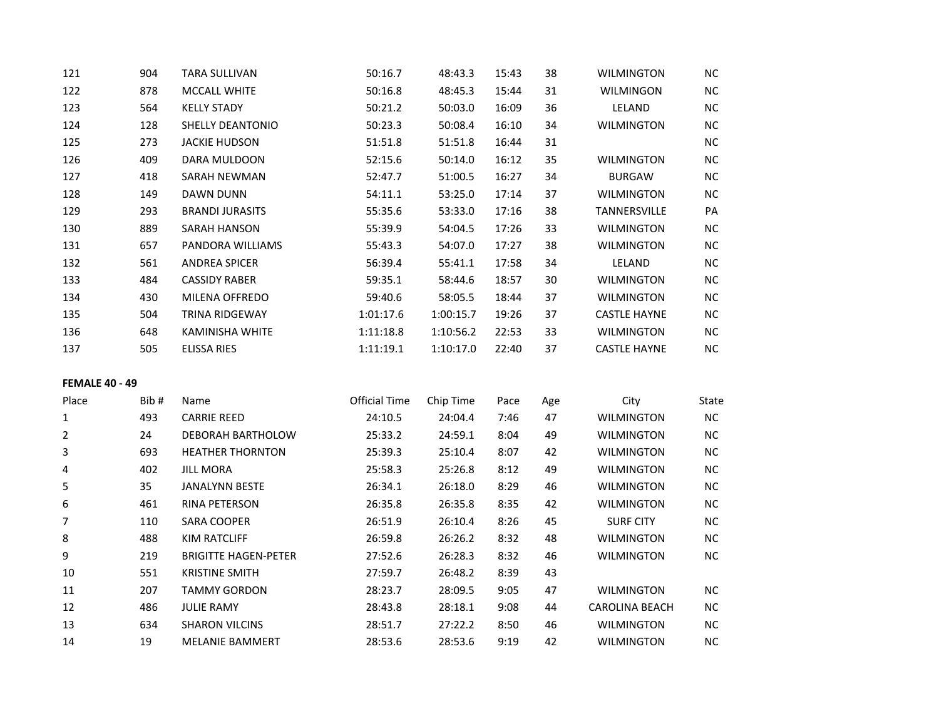| 121 | 904 | <b>TARA SULLIVAN</b>    | 50:16.7   | 48:43.3   | 15:43 | 38 | <b>WILMINGTON</b>   | NC.       |
|-----|-----|-------------------------|-----------|-----------|-------|----|---------------------|-----------|
| 122 | 878 | <b>MCCALL WHITE</b>     | 50:16.8   | 48:45.3   | 15:44 | 31 | <b>WILMINGON</b>    | <b>NC</b> |
| 123 | 564 | <b>KELLY STADY</b>      | 50:21.2   | 50:03.0   | 16:09 | 36 | LELAND              | <b>NC</b> |
| 124 | 128 | <b>SHELLY DEANTONIO</b> | 50:23.3   | 50:08.4   | 16:10 | 34 | <b>WILMINGTON</b>   | NC.       |
| 125 | 273 | <b>JACKIE HUDSON</b>    | 51:51.8   | 51:51.8   | 16:44 | 31 |                     | NC.       |
| 126 | 409 | DARA MULDOON            | 52:15.6   | 50:14.0   | 16:12 | 35 | <b>WILMINGTON</b>   | NC.       |
| 127 | 418 | <b>SARAH NEWMAN</b>     | 52:47.7   | 51:00.5   | 16:27 | 34 | <b>BURGAW</b>       | <b>NC</b> |
| 128 | 149 | DAWN DUNN               | 54:11.1   | 53:25.0   | 17:14 | 37 | <b>WILMINGTON</b>   | NC        |
| 129 | 293 | <b>BRANDI JURASITS</b>  | 55:35.6   | 53:33.0   | 17:16 | 38 | TANNERSVILLE        | PA        |
| 130 | 889 | <b>SARAH HANSON</b>     | 55:39.9   | 54:04.5   | 17:26 | 33 | <b>WILMINGTON</b>   | NC.       |
| 131 | 657 | PANDORA WILLIAMS        | 55:43.3   | 54:07.0   | 17:27 | 38 | <b>WILMINGTON</b>   | <b>NC</b> |
| 132 | 561 | <b>ANDREA SPICER</b>    | 56:39.4   | 55:41.1   | 17:58 | 34 | <b>LELAND</b>       | <b>NC</b> |
| 133 | 484 | <b>CASSIDY RABER</b>    | 59:35.1   | 58:44.6   | 18:57 | 30 | <b>WILMINGTON</b>   | NC.       |
| 134 | 430 | MILENA OFFREDO          | 59:40.6   | 58:05.5   | 18:44 | 37 | <b>WILMINGTON</b>   | NC        |
| 135 | 504 | <b>TRINA RIDGEWAY</b>   | 1:01:17.6 | 1:00:15.7 | 19:26 | 37 | <b>CASTLE HAYNE</b> | <b>NC</b> |
| 136 | 648 | KAMINISHA WHITE         | 1:11:18.8 | 1:10:56.2 | 22:53 | 33 | <b>WILMINGTON</b>   | NC        |
| 137 | 505 | <b>ELISSA RIES</b>      | 1:11:19.1 | 1:10:17.0 | 22:40 | 37 | <b>CASTLE HAYNE</b> | <b>NC</b> |
|     |     |                         |           |           |       |    |                     |           |

## **FEMALE 40 - 49**

| Place | Bib# | Name                        | <b>Official Time</b> | Chip Time | Pace | Age | City              | State     |
|-------|------|-----------------------------|----------------------|-----------|------|-----|-------------------|-----------|
| 1     | 493  | <b>CARRIE REED</b>          | 24:10.5              | 24:04.4   | 7:46 | 47  | <b>WILMINGTON</b> | NC.       |
| 2     | 24   | DEBORAH BARTHOLOW           | 25:33.2              | 24:59.1   | 8:04 | 49  | <b>WILMINGTON</b> | NC.       |
| 3     | 693  | <b>HEATHER THORNTON</b>     | 25:39.3              | 25:10.4   | 8:07 | 42  | <b>WILMINGTON</b> | NC.       |
| 4     | 402  | <b>JILL MORA</b>            | 25:58.3              | 25:26.8   | 8:12 | 49  | <b>WILMINGTON</b> | NC.       |
| 5     | 35   | JANALYNN BESTE              | 26:34.1              | 26:18.0   | 8:29 | 46  | <b>WILMINGTON</b> | NC.       |
| 6     | 461  | <b>RINA PETERSON</b>        | 26:35.8              | 26:35.8   | 8:35 | 42  | <b>WILMINGTON</b> | <b>NC</b> |
| 7     | 110  | <b>SARA COOPER</b>          | 26:51.9              | 26:10.4   | 8:26 | 45  | <b>SURF CITY</b>  | NC.       |
| 8     | 488  | KIM RATCLIFF                | 26:59.8              | 26:26.2   | 8:32 | 48  | <b>WILMINGTON</b> | NC.       |
| 9     | 219  | <b>BRIGITTE HAGEN-PETER</b> | 27:52.6              | 26:28.3   | 8:32 | 46  | <b>WILMINGTON</b> | NC.       |
| 10    | 551  | <b>KRISTINE SMITH</b>       | 27:59.7              | 26:48.2   | 8:39 | 43  |                   |           |
| 11    | 207  | <b>TAMMY GORDON</b>         | 28:23.7              | 28:09.5   | 9:05 | 47  | <b>WILMINGTON</b> | NC.       |
| 12    | 486  | <b>JULIE RAMY</b>           | 28:43.8              | 28:18.1   | 9:08 | 44  | CAROLINA BEACH    | NC.       |
| 13    | 634  | <b>SHARON VILCINS</b>       | 28:51.7              | 27:22.2   | 8:50 | 46  | <b>WILMINGTON</b> | NC.       |
| 14    | 19   | <b>MELANIE BAMMERT</b>      | 28:53.6              | 28:53.6   | 9:19 | 42  | <b>WILMINGTON</b> | NC.       |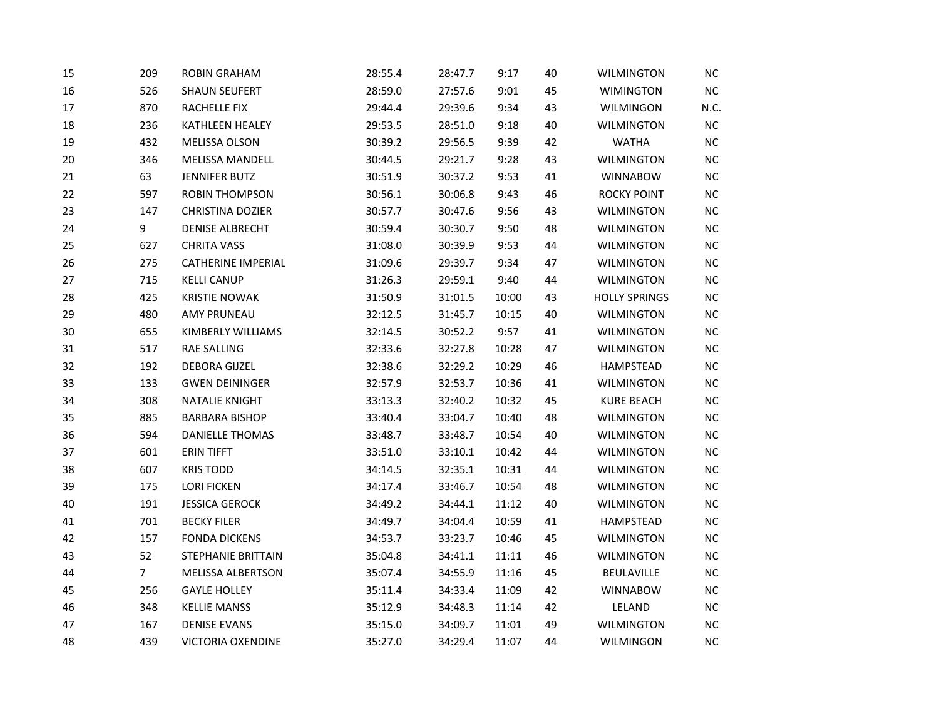| 15 | 209            | <b>ROBIN GRAHAM</b>       | 28:55.4 | 28:47.7 | 9:17  | 40 | <b>WILMINGTON</b>    | NC   |
|----|----------------|---------------------------|---------|---------|-------|----|----------------------|------|
| 16 | 526            | <b>SHAUN SEUFERT</b>      | 28:59.0 | 27:57.6 | 9:01  | 45 | <b>WIMINGTON</b>     | $NC$ |
| 17 | 870            | RACHELLE FIX              | 29:44.4 | 29:39.6 | 9:34  | 43 | WILMINGON            | N.C. |
| 18 | 236            | KATHLEEN HEALEY           | 29:53.5 | 28:51.0 | 9:18  | 40 | WILMINGTON           | NC   |
| 19 | 432            | MELISSA OLSON             | 30:39.2 | 29:56.5 | 9:39  | 42 | <b>WATHA</b>         | NC   |
| 20 | 346            | <b>MELISSA MANDELL</b>    | 30:44.5 | 29:21.7 | 9:28  | 43 | <b>WILMINGTON</b>    | $NC$ |
| 21 | 63             | <b>JENNIFER BUTZ</b>      | 30:51.9 | 30:37.2 | 9:53  | 41 | <b>WINNABOW</b>      | $NC$ |
| 22 | 597            | <b>ROBIN THOMPSON</b>     | 30:56.1 | 30:06.8 | 9:43  | 46 | <b>ROCKY POINT</b>   | NC   |
| 23 | 147            | CHRISTINA DOZIER          | 30:57.7 | 30:47.6 | 9:56  | 43 | <b>WILMINGTON</b>    | $NC$ |
| 24 | 9              | <b>DENISE ALBRECHT</b>    | 30:59.4 | 30:30.7 | 9:50  | 48 | <b>WILMINGTON</b>    | $NC$ |
| 25 | 627            | <b>CHRITA VASS</b>        | 31:08.0 | 30:39.9 | 9:53  | 44 | <b>WILMINGTON</b>    | NC   |
| 26 | 275            | CATHERINE IMPERIAL        | 31:09.6 | 29:39.7 | 9:34  | 47 | <b>WILMINGTON</b>    | $NC$ |
| 27 | 715            | <b>KELLI CANUP</b>        | 31:26.3 | 29:59.1 | 9:40  | 44 | <b>WILMINGTON</b>    | $NC$ |
| 28 | 425            | <b>KRISTIE NOWAK</b>      | 31:50.9 | 31:01.5 | 10:00 | 43 | <b>HOLLY SPRINGS</b> | NC   |
| 29 | 480            | <b>AMY PRUNEAU</b>        | 32:12.5 | 31:45.7 | 10:15 | 40 | <b>WILMINGTON</b>    | $NC$ |
| 30 | 655            | KIMBERLY WILLIAMS         | 32:14.5 | 30:52.2 | 9:57  | 41 | <b>WILMINGTON</b>    | $NC$ |
| 31 | 517            | <b>RAE SALLING</b>        | 32:33.6 | 32:27.8 | 10:28 | 47 | <b>WILMINGTON</b>    | NC   |
| 32 | 192            | <b>DEBORA GIJZEL</b>      | 32:38.6 | 32:29.2 | 10:29 | 46 | HAMPSTEAD            | $NC$ |
| 33 | 133            | <b>GWEN DEININGER</b>     | 32:57.9 | 32:53.7 | 10:36 | 41 | <b>WILMINGTON</b>    | $NC$ |
| 34 | 308            | <b>NATALIE KNIGHT</b>     | 33:13.3 | 32:40.2 | 10:32 | 45 | <b>KURE BEACH</b>    | NC   |
| 35 | 885            | <b>BARBARA BISHOP</b>     | 33:40.4 | 33:04.7 | 10:40 | 48 | <b>WILMINGTON</b>    | $NC$ |
| 36 | 594            | <b>DANIELLE THOMAS</b>    | 33:48.7 | 33:48.7 | 10:54 | 40 | WILMINGTON           | NC   |
| 37 | 601            | <b>ERIN TIFFT</b>         | 33:51.0 | 33:10.1 | 10:42 | 44 | <b>WILMINGTON</b>    | NC   |
| 38 | 607            | <b>KRIS TODD</b>          | 34:14.5 | 32:35.1 | 10:31 | 44 | <b>WILMINGTON</b>    | $NC$ |
| 39 | 175            | <b>LORI FICKEN</b>        | 34:17.4 | 33:46.7 | 10:54 | 48 | <b>WILMINGTON</b>    | $NC$ |
| 40 | 191            | <b>JESSICA GEROCK</b>     | 34:49.2 | 34:44.1 | 11:12 | 40 | <b>WILMINGTON</b>    | NC   |
| 41 | 701            | <b>BECKY FILER</b>        | 34:49.7 | 34:04.4 | 10:59 | 41 | HAMPSTEAD            | $NC$ |
| 42 | 157            | <b>FONDA DICKENS</b>      | 34:53.7 | 33:23.7 | 10:46 | 45 | <b>WILMINGTON</b>    | $NC$ |
| 43 | 52             | <b>STEPHANIE BRITTAIN</b> | 35:04.8 | 34:41.1 | 11:11 | 46 | <b>WILMINGTON</b>    | NC   |
| 44 | $\overline{7}$ | MELISSA ALBERTSON         | 35:07.4 | 34:55.9 | 11:16 | 45 | BEULAVILLE           | $NC$ |
| 45 | 256            | <b>GAYLE HOLLEY</b>       | 35:11.4 | 34:33.4 | 11:09 | 42 | <b>WINNABOW</b>      | $NC$ |
| 46 | 348            | <b>KELLIE MANSS</b>       | 35:12.9 | 34:48.3 | 11:14 | 42 | LELAND               | NC   |
| 47 | 167            | <b>DENISE EVANS</b>       | 35:15.0 | 34:09.7 | 11:01 | 49 | <b>WILMINGTON</b>    | $NC$ |
| 48 | 439            | <b>VICTORIA OXENDINE</b>  | 35:27.0 | 34:29.4 | 11:07 | 44 | WILMINGON            | NC   |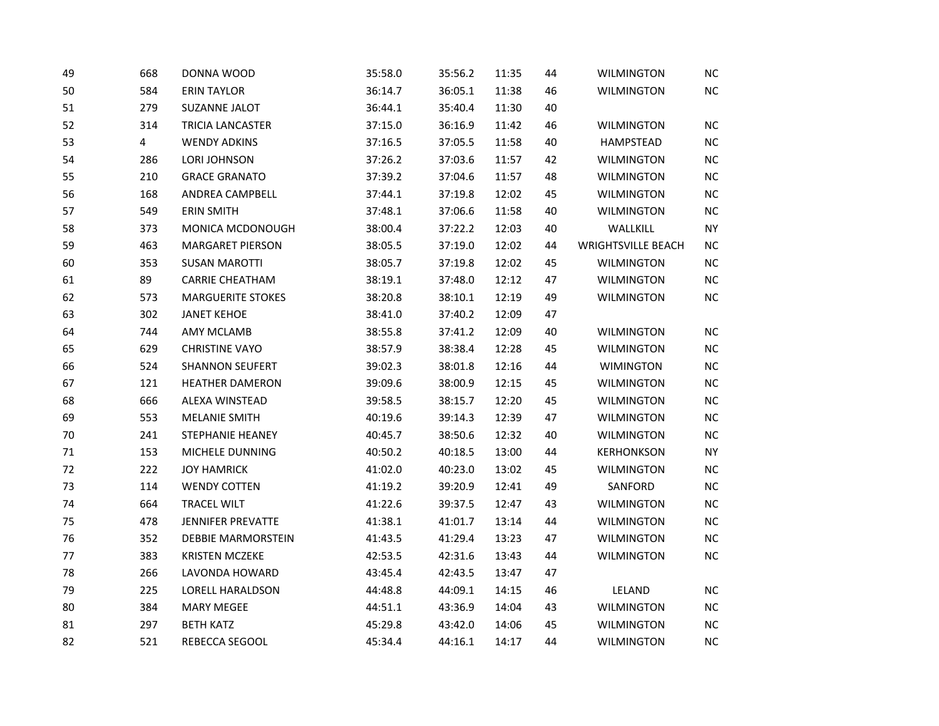| 49 | 668 | DONNA WOOD               | 35:58.0 | 35:56.2 | 11:35 | 44 | <b>WILMINGTON</b>         | $NC$      |
|----|-----|--------------------------|---------|---------|-------|----|---------------------------|-----------|
| 50 | 584 | <b>ERIN TAYLOR</b>       | 36:14.7 | 36:05.1 | 11:38 | 46 | <b>WILMINGTON</b>         | $NC$      |
| 51 | 279 | <b>SUZANNE JALOT</b>     | 36:44.1 | 35:40.4 | 11:30 | 40 |                           |           |
| 52 | 314 | TRICIA LANCASTER         | 37:15.0 | 36:16.9 | 11:42 | 46 | <b>WILMINGTON</b>         | $NC$      |
| 53 | 4   | <b>WENDY ADKINS</b>      | 37:16.5 | 37:05.5 | 11:58 | 40 | HAMPSTEAD                 | $NC$      |
| 54 | 286 | LORI JOHNSON             | 37:26.2 | 37:03.6 | 11:57 | 42 | <b>WILMINGTON</b>         | $NC$      |
| 55 | 210 | <b>GRACE GRANATO</b>     | 37:39.2 | 37:04.6 | 11:57 | 48 | WILMINGTON                | $NC$      |
| 56 | 168 | ANDREA CAMPBELL          | 37:44.1 | 37:19.8 | 12:02 | 45 | <b>WILMINGTON</b>         | $NC$      |
| 57 | 549 | <b>ERIN SMITH</b>        | 37:48.1 | 37:06.6 | 11:58 | 40 | <b>WILMINGTON</b>         | $NC$      |
| 58 | 373 | MONICA MCDONOUGH         | 38:00.4 | 37:22.2 | 12:03 | 40 | WALLKILL                  | <b>NY</b> |
| 59 | 463 | <b>MARGARET PIERSON</b>  | 38:05.5 | 37:19.0 | 12:02 | 44 | <b>WRIGHTSVILLE BEACH</b> | $NC$      |
| 60 | 353 | <b>SUSAN MAROTTI</b>     | 38:05.7 | 37:19.8 | 12:02 | 45 | <b>WILMINGTON</b>         | $NC$      |
| 61 | 89  | <b>CARRIE CHEATHAM</b>   | 38:19.1 | 37:48.0 | 12:12 | 47 | <b>WILMINGTON</b>         | $NC$      |
| 62 | 573 | <b>MARGUERITE STOKES</b> | 38:20.8 | 38:10.1 | 12:19 | 49 | <b>WILMINGTON</b>         | $\sf NC$  |
| 63 | 302 | <b>JANET KEHOE</b>       | 38:41.0 | 37:40.2 | 12:09 | 47 |                           |           |
| 64 | 744 | <b>AMY MCLAMB</b>        | 38:55.8 | 37:41.2 | 12:09 | 40 | <b>WILMINGTON</b>         | $NC$      |
| 65 | 629 | <b>CHRISTINE VAYO</b>    | 38:57.9 | 38:38.4 | 12:28 | 45 | <b>WILMINGTON</b>         | $NC$      |
| 66 | 524 | <b>SHANNON SEUFERT</b>   | 39:02.3 | 38:01.8 | 12:16 | 44 | <b>WIMINGTON</b>          | $NC$      |
| 67 | 121 | <b>HEATHER DAMERON</b>   | 39:09.6 | 38:00.9 | 12:15 | 45 | <b>WILMINGTON</b>         | $NC$      |
| 68 | 666 | ALEXA WINSTEAD           | 39:58.5 | 38:15.7 | 12:20 | 45 | <b>WILMINGTON</b>         | $NC$      |
| 69 | 553 | <b>MELANIE SMITH</b>     | 40:19.6 | 39:14.3 | 12:39 | 47 | WILMINGTON                | $NC$      |
| 70 | 241 | <b>STEPHANIE HEANEY</b>  | 40:45.7 | 38:50.6 | 12:32 | 40 | <b>WILMINGTON</b>         | $NC$      |
| 71 | 153 | MICHELE DUNNING          | 40:50.2 | 40:18.5 | 13:00 | 44 | <b>KERHONKSON</b>         | <b>NY</b> |
| 72 | 222 | <b>JOY HAMRICK</b>       | 41:02.0 | 40:23.0 | 13:02 | 45 | <b>WILMINGTON</b>         | $NC$      |
| 73 | 114 | <b>WENDY COTTEN</b>      | 41:19.2 | 39:20.9 | 12:41 | 49 | SANFORD                   | $NC$      |
| 74 | 664 | <b>TRACEL WILT</b>       | 41:22.6 | 39:37.5 | 12:47 | 43 | <b>WILMINGTON</b>         | $NC$      |
| 75 | 478 | <b>JENNIFER PREVATTE</b> | 41:38.1 | 41:01.7 | 13:14 | 44 | <b>WILMINGTON</b>         | $NC$      |
| 76 | 352 | DEBBIE MARMORSTEIN       | 41:43.5 | 41:29.4 | 13:23 | 47 | <b>WILMINGTON</b>         | $NC$      |
| 77 | 383 | <b>KRISTEN MCZEKE</b>    | 42:53.5 | 42:31.6 | 13:43 | 44 | WILMINGTON                | $NC$      |
| 78 | 266 | LAVONDA HOWARD           | 43:45.4 | 42:43.5 | 13:47 | 47 |                           |           |
| 79 | 225 | LORELL HARALDSON         | 44:48.8 | 44:09.1 | 14:15 | 46 | LELAND                    | $NC$      |
| 80 | 384 | <b>MARY MEGEE</b>        | 44:51.1 | 43:36.9 | 14:04 | 43 | <b>WILMINGTON</b>         | $NC$      |
| 81 | 297 | <b>BETH KATZ</b>         | 45:29.8 | 43:42.0 | 14:06 | 45 | <b>WILMINGTON</b>         | $NC$      |
| 82 | 521 | REBECCA SEGOOL           | 45:34.4 | 44:16.1 | 14:17 | 44 | <b>WILMINGTON</b>         | $NC$      |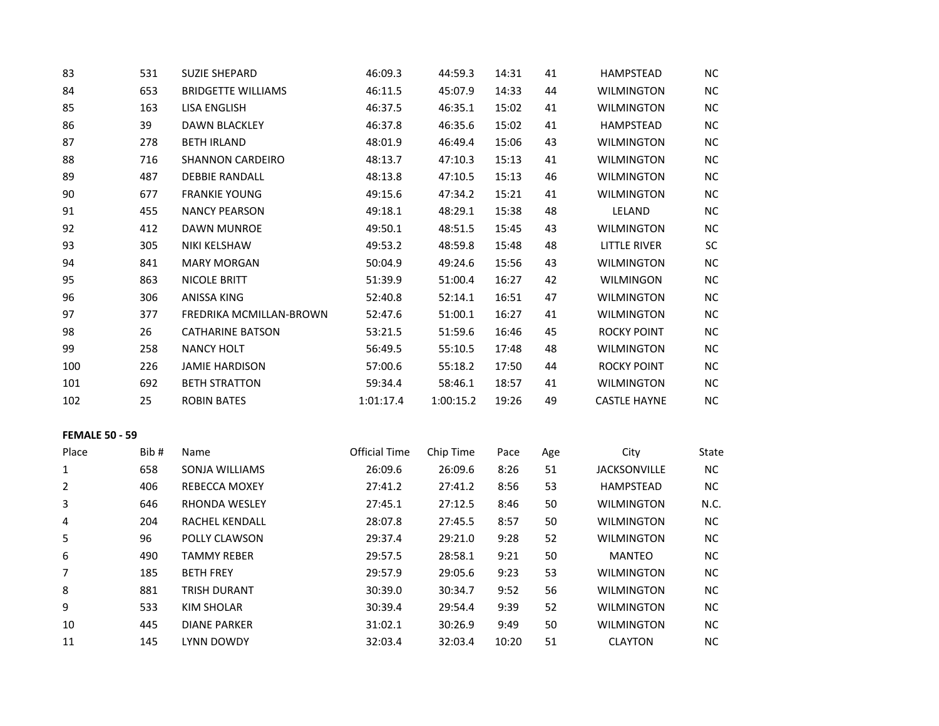| 83                    | 531  | <b>SUZIE SHEPARD</b>      | 46:09.3              | 44:59.3   | 14:31 | 41  | HAMPSTEAD           | NC        |
|-----------------------|------|---------------------------|----------------------|-----------|-------|-----|---------------------|-----------|
| 84                    | 653  | <b>BRIDGETTE WILLIAMS</b> | 46:11.5              | 45:07.9   | 14:33 | 44  | <b>WILMINGTON</b>   | NC        |
| 85                    | 163  | <b>LISA ENGLISH</b>       | 46:37.5              | 46:35.1   | 15:02 | 41  | <b>WILMINGTON</b>   | NC        |
| 86                    | 39   | <b>DAWN BLACKLEY</b>      | 46:37.8              | 46:35.6   | 15:02 | 41  | <b>HAMPSTEAD</b>    | NC        |
| 87                    | 278  | <b>BETH IRLAND</b>        | 48:01.9              | 46:49.4   | 15:06 | 43  | <b>WILMINGTON</b>   | NC        |
| 88                    | 716  | <b>SHANNON CARDEIRO</b>   | 48:13.7              | 47:10.3   | 15:13 | 41  | <b>WILMINGTON</b>   | NC.       |
| 89                    | 487  | <b>DEBBIE RANDALL</b>     | 48:13.8              | 47:10.5   | 15:13 | 46  | <b>WILMINGTON</b>   | NC        |
| 90                    | 677  | <b>FRANKIE YOUNG</b>      | 49:15.6              | 47:34.2   | 15:21 | 41  | <b>WILMINGTON</b>   | NC        |
| 91                    | 455  | <b>NANCY PEARSON</b>      | 49:18.1              | 48:29.1   | 15:38 | 48  | LELAND              | $NC$      |
| 92                    | 412  | <b>DAWN MUNROE</b>        | 49:50.1              | 48:51.5   | 15:45 | 43  | <b>WILMINGTON</b>   | NC        |
| 93                    | 305  | NIKI KELSHAW              | 49:53.2              | 48:59.8   | 15:48 | 48  | LITTLE RIVER        | SC        |
| 94                    | 841  | <b>MARY MORGAN</b>        | 50:04.9              | 49:24.6   | 15:56 | 43  | <b>WILMINGTON</b>   | NC        |
| 95                    | 863  | <b>NICOLE BRITT</b>       | 51:39.9              | 51:00.4   | 16:27 | 42  | WILMINGON           | NC        |
| 96                    | 306  | ANISSA KING               | 52:40.8              | 52:14.1   | 16:51 | 47  | <b>WILMINGTON</b>   | NC        |
| 97                    | 377  | FREDRIKA MCMILLAN-BROWN   | 52:47.6              | 51:00.1   | 16:27 | 41  | <b>WILMINGTON</b>   | NC        |
| 98                    | 26   | <b>CATHARINE BATSON</b>   | 53:21.5              | 51:59.6   | 16:46 | 45  | <b>ROCKY POINT</b>  | <b>NC</b> |
| 99                    | 258  | <b>NANCY HOLT</b>         | 56:49.5              | 55:10.5   | 17:48 | 48  | <b>WILMINGTON</b>   | NC        |
| 100                   | 226  | <b>JAMIE HARDISON</b>     | 57:00.6              | 55:18.2   | 17:50 | 44  | <b>ROCKY POINT</b>  | NC        |
| 101                   | 692  | <b>BETH STRATTON</b>      | 59:34.4              | 58:46.1   | 18:57 | 41  | <b>WILMINGTON</b>   | NC        |
| 102                   | 25   | <b>ROBIN BATES</b>        | 1:01:17.4            | 1:00:15.2 | 19:26 | 49  | <b>CASTLE HAYNE</b> | NC        |
| <b>FEMALE 50 - 59</b> |      |                           |                      |           |       |     |                     |           |
| Place                 | Bib# | Name                      | <b>Official Time</b> | Chip Time | Pace  | Age | City                | State     |
| 1                     | 658  | SONJA WILLIAMS            | 26:09.6              | 26:09.6   | 8:26  | 51  | <b>JACKSONVILLE</b> | NC        |
| 2                     | 406  | REBECCA MOXEY             | 27:41.2              | 27:41.2   | 8:56  | 53  | HAMPSTEAD           | NC        |
| 3                     | 646  | RHONDA WESLEY             | 27:45.1              | 27:12.5   | 8:46  | 50  | <b>WILMINGTON</b>   | N.C.      |
| 4                     | 204  | RACHEL KENDALL            | 28:07.8              | 27:45.5   | 8:57  | 50  | <b>WILMINGTON</b>   | NC        |
| 5                     | 96   | POLLY CLAWSON             | 29:37.4              | 29:21.0   | 9:28  | 52  | <b>WILMINGTON</b>   | NC        |
| 6                     | 490  | <b>TAMMY REBER</b>        | 29:57.5              | 28:58.1   | 9:21  | 50  | <b>MANTEO</b>       | <b>NC</b> |
| 7                     | 185  | <b>BETH FREY</b>          | 29:57.9              | 29:05.6   | 9:23  | 53  | <b>WILMINGTON</b>   | NC        |
| 8                     | 881  | TRISH DURANT              | 30:39.0              | 30:34.7   | 9:52  | 56  | <b>WILMINGTON</b>   | NC        |
| 9                     | 533  | <b>KIM SHOLAR</b>         | 30:39.4              | 29:54.4   | 9:39  | 52  | <b>WILMINGTON</b>   | <b>NC</b> |
| 10                    | 445  | <b>DIANE PARKER</b>       | 31:02.1              | 30:26.9   | 9:49  | 50  | <b>WILMINGTON</b>   | NC        |
| 11                    | 145  | LYNN DOWDY                | 32:03.4              | 32:03.4   | 10:20 | 51  | <b>CLAYTON</b>      | NC        |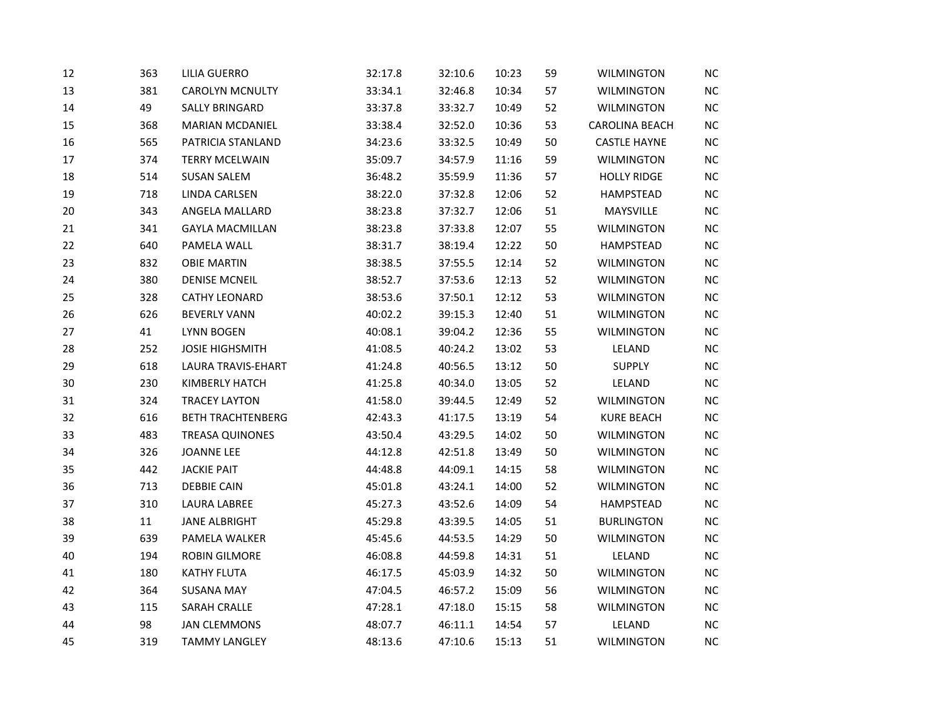| 12     | 363 | <b>LILIA GUERRO</b>      | 32:17.8 | 32:10.6 | 10:23 | 59 | <b>WILMINGTON</b>     | <b>NC</b> |
|--------|-----|--------------------------|---------|---------|-------|----|-----------------------|-----------|
| 13     | 381 | <b>CAROLYN MCNULTY</b>   | 33:34.1 | 32:46.8 | 10:34 | 57 | <b>WILMINGTON</b>     | $NC$      |
| 14     | 49  | <b>SALLY BRINGARD</b>    | 33:37.8 | 33:32.7 | 10:49 | 52 | <b>WILMINGTON</b>     | $NC$      |
| 15     | 368 | <b>MARIAN MCDANIEL</b>   | 33:38.4 | 32:52.0 | 10:36 | 53 | <b>CAROLINA BEACH</b> | NC        |
| 16     | 565 | PATRICIA STANLAND        | 34:23.6 | 33:32.5 | 10:49 | 50 | <b>CASTLE HAYNE</b>   | $NC$      |
| 17     | 374 | <b>TERRY MCELWAIN</b>    | 35:09.7 | 34:57.9 | 11:16 | 59 | WILMINGTON            | $NC$      |
| 18     | 514 | <b>SUSAN SALEM</b>       | 36:48.2 | 35:59.9 | 11:36 | 57 | <b>HOLLY RIDGE</b>    | $NC$      |
| 19     | 718 | LINDA CARLSEN            | 38:22.0 | 37:32.8 | 12:06 | 52 | HAMPSTEAD             | NC        |
| $20\,$ | 343 | ANGELA MALLARD           | 38:23.8 | 37:32.7 | 12:06 | 51 | MAYSVILLE             | NC        |
| 21     | 341 | <b>GAYLA MACMILLAN</b>   | 38:23.8 | 37:33.8 | 12:07 | 55 | <b>WILMINGTON</b>     | $NC$      |
| 22     | 640 | PAMELA WALL              | 38:31.7 | 38:19.4 | 12:22 | 50 | HAMPSTEAD             | <b>NC</b> |
| 23     | 832 | <b>OBIE MARTIN</b>       | 38:38.5 | 37:55.5 | 12:14 | 52 | <b>WILMINGTON</b>     | $NC$      |
| 24     | 380 | <b>DENISE MCNEIL</b>     | 38:52.7 | 37:53.6 | 12:13 | 52 | <b>WILMINGTON</b>     | $NC$      |
| 25     | 328 | <b>CATHY LEONARD</b>     | 38:53.6 | 37:50.1 | 12:12 | 53 | <b>WILMINGTON</b>     | $NC$      |
| 26     | 626 | <b>BEVERLY VANN</b>      | 40:02.2 | 39:15.3 | 12:40 | 51 | <b>WILMINGTON</b>     | $NC$      |
| 27     | 41  | <b>LYNN BOGEN</b>        | 40:08.1 | 39:04.2 | 12:36 | 55 | <b>WILMINGTON</b>     | $NC$      |
| 28     | 252 | <b>JOSIE HIGHSMITH</b>   | 41:08.5 | 40:24.2 | 13:02 | 53 | LELAND                | $NC$      |
| 29     | 618 | LAURA TRAVIS-EHART       | 41:24.8 | 40:56.5 | 13:12 | 50 | <b>SUPPLY</b>         | NC        |
| 30     | 230 | <b>KIMBERLY HATCH</b>    | 41:25.8 | 40:34.0 | 13:05 | 52 | LELAND                | $NC$      |
| 31     | 324 | <b>TRACEY LAYTON</b>     | 41:58.0 | 39:44.5 | 12:49 | 52 | <b>WILMINGTON</b>     | NC        |
| 32     | 616 | <b>BETH TRACHTENBERG</b> | 42:43.3 | 41:17.5 | 13:19 | 54 | <b>KURE BEACH</b>     | $NC$      |
| 33     | 483 | <b>TREASA QUINONES</b>   | 43:50.4 | 43:29.5 | 14:02 | 50 | <b>WILMINGTON</b>     | $NC$      |
| 34     | 326 | <b>JOANNE LEE</b>        | 44:12.8 | 42:51.8 | 13:49 | 50 | <b>WILMINGTON</b>     | NC        |
| 35     | 442 | <b>JACKIE PAIT</b>       | 44:48.8 | 44:09.1 | 14:15 | 58 | <b>WILMINGTON</b>     | $NC$      |
| 36     | 713 | <b>DEBBIE CAIN</b>       | 45:01.8 | 43:24.1 | 14:00 | 52 | <b>WILMINGTON</b>     | $NC$      |
| 37     | 310 | <b>LAURA LABREE</b>      | 45:27.3 | 43:52.6 | 14:09 | 54 | HAMPSTEAD             | NC        |
| 38     | 11  | <b>JANE ALBRIGHT</b>     | 45:29.8 | 43:39.5 | 14:05 | 51 | <b>BURLINGTON</b>     | $NC$      |
| 39     | 639 | PAMELA WALKER            | 45:45.6 | 44:53.5 | 14:29 | 50 | <b>WILMINGTON</b>     | NC        |
| 40     | 194 | <b>ROBIN GILMORE</b>     | 46:08.8 | 44:59.8 | 14:31 | 51 | LELAND                | NC        |
| 41     | 180 | <b>KATHY FLUTA</b>       | 46:17.5 | 45:03.9 | 14:32 | 50 | WILMINGTON            | NC        |
| 42     | 364 | <b>SUSANA MAY</b>        | 47:04.5 | 46:57.2 | 15:09 | 56 | <b>WILMINGTON</b>     | $NC$      |
| 43     | 115 | SARAH CRALLE             | 47:28.1 | 47:18.0 | 15:15 | 58 | <b>WILMINGTON</b>     | <b>NC</b> |
| 44     | 98  | <b>JAN CLEMMONS</b>      | 48:07.7 | 46:11.1 | 14:54 | 57 | LELAND                | $NC$      |
| 45     | 319 | <b>TAMMY LANGLEY</b>     | 48:13.6 | 47:10.6 | 15:13 | 51 | <b>WILMINGTON</b>     | NC        |